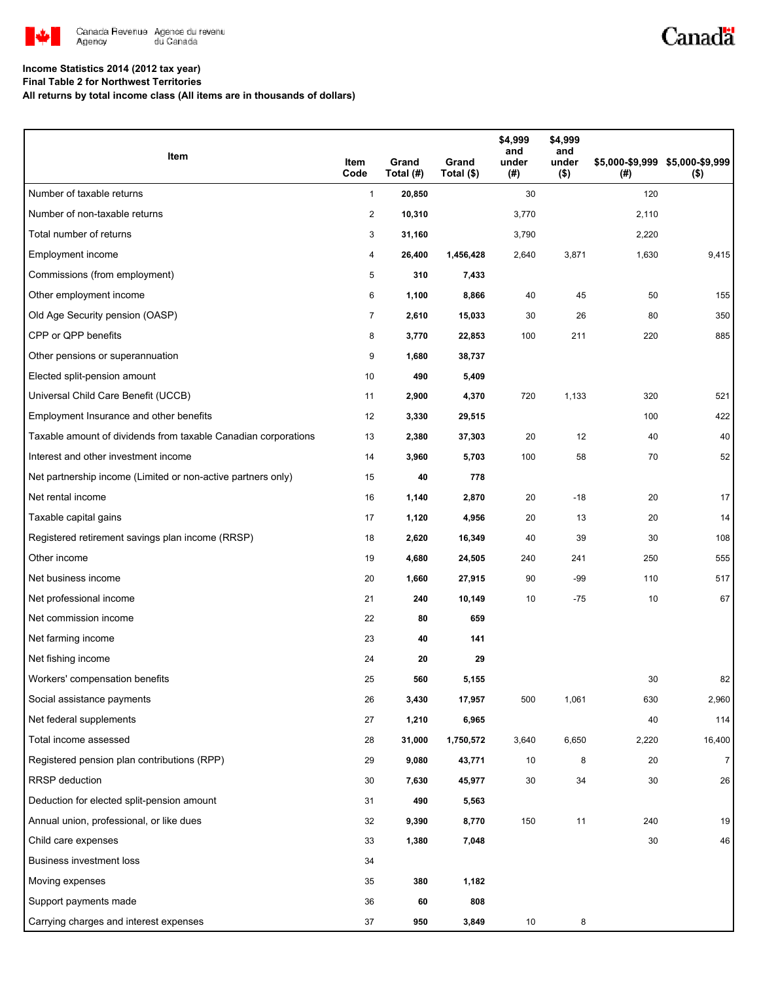

## Canadä

### **Income Statistics 2014 (2012 tax year)**

**Final Table 2 for Northwest Territories**

**All returns by total income class (All items are in thousands of dollars)**

| Item                                                           | Item<br>Code   | Grand<br>Total (#) | Grand<br>Total (\$) | \$4,999<br>and<br>under<br>(#) | \$4,999<br>and<br>under<br>$($ \$) | (#)   | \$5,000-\$9,999 \$5,000-\$9,999<br>$($ \$) |
|----------------------------------------------------------------|----------------|--------------------|---------------------|--------------------------------|------------------------------------|-------|--------------------------------------------|
| Number of taxable returns                                      | $\mathbf{1}$   | 20,850             |                     | 30                             |                                    | 120   |                                            |
| Number of non-taxable returns                                  | 2              | 10,310             |                     | 3,770                          |                                    | 2,110 |                                            |
| Total number of returns                                        | 3              | 31,160             |                     | 3,790                          |                                    | 2,220 |                                            |
| Employment income                                              | 4              | 26,400             | 1,456,428           | 2,640                          | 3,871                              | 1,630 | 9,415                                      |
| Commissions (from employment)                                  | $\sqrt{5}$     | 310                | 7,433               |                                |                                    |       |                                            |
| Other employment income                                        | 6              | 1,100              | 8,866               | 40                             | 45                                 | 50    | 155                                        |
| Old Age Security pension (OASP)                                | $\overline{7}$ | 2,610              | 15,033              | 30                             | 26                                 | 80    | 350                                        |
| CPP or QPP benefits                                            | 8              | 3,770              | 22,853              | 100                            | 211                                | 220   | 885                                        |
| Other pensions or superannuation                               | 9              | 1,680              | 38,737              |                                |                                    |       |                                            |
| Elected split-pension amount                                   | 10             | 490                | 5,409               |                                |                                    |       |                                            |
| Universal Child Care Benefit (UCCB)                            | 11             | 2,900              | 4,370               | 720                            | 1,133                              | 320   | 521                                        |
| Employment Insurance and other benefits                        | 12             | 3,330              | 29,515              |                                |                                    | 100   | 422                                        |
| Taxable amount of dividends from taxable Canadian corporations | 13             | 2,380              | 37,303              | 20                             | 12                                 | 40    | 40                                         |
| Interest and other investment income                           | 14             | 3,960              | 5,703               | 100                            | 58                                 | 70    | 52                                         |
| Net partnership income (Limited or non-active partners only)   | 15             | 40                 | 778                 |                                |                                    |       |                                            |
| Net rental income                                              | 16             | 1,140              | 2,870               | 20                             | $-18$                              | 20    | 17                                         |
| Taxable capital gains                                          | 17             | 1,120              | 4,956               | 20                             | 13                                 | 20    | 14                                         |
| Registered retirement savings plan income (RRSP)               | 18             | 2,620              | 16,349              | 40                             | 39                                 | 30    | 108                                        |
| Other income                                                   | 19             | 4,680              | 24,505              | 240                            | 241                                | 250   | 555                                        |
| Net business income                                            | 20             | 1,660              | 27,915              | 90                             | $-99$                              | 110   | 517                                        |
| Net professional income                                        | 21             | 240                | 10,149              | 10                             | $-75$                              | 10    | 67                                         |
| Net commission income                                          | 22             | 80                 | 659                 |                                |                                    |       |                                            |
| Net farming income                                             | 23             | 40                 | 141                 |                                |                                    |       |                                            |
| Net fishing income                                             | 24             | 20                 | 29                  |                                |                                    |       |                                            |
| Workers' compensation benefits                                 | 25             | 560                | 5,155               |                                |                                    | 30    | 82                                         |
| Social assistance payments                                     | 26             | 3,430              | 17,957              | 500                            | 1,061                              | 630   | 2,960                                      |
| Net federal supplements                                        | 27             | 1,210              | 6,965               |                                |                                    | 40    | 114                                        |
| Total income assessed                                          | 28             | 31,000             | 1,750,572           | 3,640                          | 6,650                              | 2,220 | 16,400                                     |
| Registered pension plan contributions (RPP)                    | 29             | 9,080              | 43,771              | 10                             | 8                                  | 20    | $\overline{7}$                             |
| <b>RRSP</b> deduction                                          | 30             | 7,630              | 45,977              | $30\,$                         | 34                                 | 30    | 26                                         |
| Deduction for elected split-pension amount                     | 31             | 490                | 5,563               |                                |                                    |       |                                            |
| Annual union, professional, or like dues                       | 32             | 9,390              | 8,770               | 150                            | 11                                 | 240   | 19                                         |
| Child care expenses                                            | 33             | 1,380              | 7,048               |                                |                                    | 30    | 46                                         |
| <b>Business investment loss</b>                                | 34             |                    |                     |                                |                                    |       |                                            |
| Moving expenses                                                | 35             | 380                | 1,182               |                                |                                    |       |                                            |
| Support payments made                                          | 36             | 60                 | 808                 |                                |                                    |       |                                            |
| Carrying charges and interest expenses                         | 37             | 950                | 3,849               | 10                             | 8                                  |       |                                            |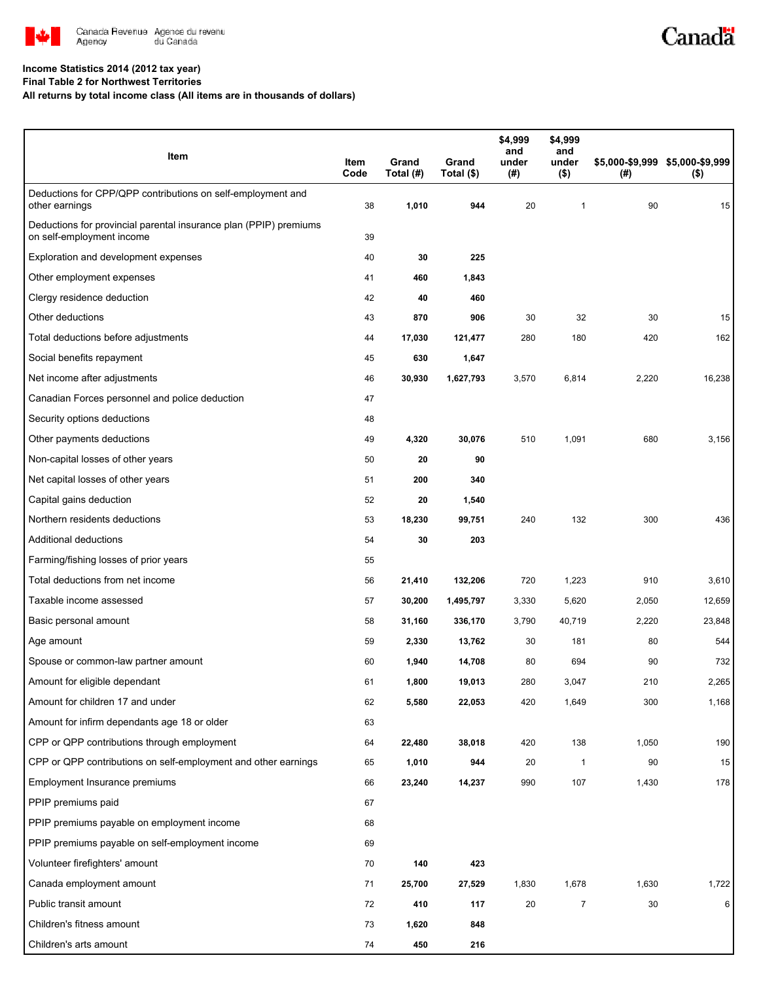

# Canadä

#### **Income Statistics 2014 (2012 tax year)**

**Final Table 2 for Northwest Territories**

**All returns by total income class (All items are in thousands of dollars)**

| Item                                                                                           | Item<br>Code | Grand<br>Total (#) | Grand<br>Total (\$) | \$4,999<br>and<br>under<br>(# ) | \$4,999<br>and<br>under<br>$($ \$) | (#)   | \$5,000-\$9,999 \$5,000-\$9,999<br>$($ \$) |
|------------------------------------------------------------------------------------------------|--------------|--------------------|---------------------|---------------------------------|------------------------------------|-------|--------------------------------------------|
| Deductions for CPP/QPP contributions on self-employment and<br>other earnings                  | 38           | 1,010              | 944                 | 20                              | 1                                  | 90    | 15                                         |
| Deductions for provincial parental insurance plan (PPIP) premiums<br>on self-employment income | 39           |                    |                     |                                 |                                    |       |                                            |
| Exploration and development expenses                                                           | 40           | 30                 | 225                 |                                 |                                    |       |                                            |
| Other employment expenses                                                                      | 41           | 460                | 1,843               |                                 |                                    |       |                                            |
| Clergy residence deduction                                                                     | 42           | 40                 | 460                 |                                 |                                    |       |                                            |
| Other deductions                                                                               | 43           | 870                | 906                 | 30                              | 32                                 | 30    | 15                                         |
| Total deductions before adjustments                                                            | 44           | 17,030             | 121,477             | 280                             | 180                                | 420   | 162                                        |
| Social benefits repayment                                                                      | 45           | 630                | 1,647               |                                 |                                    |       |                                            |
| Net income after adjustments                                                                   | 46           | 30,930             | 1,627,793           | 3,570                           | 6,814                              | 2,220 | 16,238                                     |
| Canadian Forces personnel and police deduction                                                 | 47           |                    |                     |                                 |                                    |       |                                            |
| Security options deductions                                                                    | 48           |                    |                     |                                 |                                    |       |                                            |
| Other payments deductions                                                                      | 49           | 4,320              | 30,076              | 510                             | 1,091                              | 680   | 3,156                                      |
| Non-capital losses of other years                                                              | 50           | 20                 | 90                  |                                 |                                    |       |                                            |
| Net capital losses of other years                                                              | 51           | 200                | 340                 |                                 |                                    |       |                                            |
| Capital gains deduction                                                                        | 52           | 20                 | 1,540               |                                 |                                    |       |                                            |
| Northern residents deductions                                                                  | 53           | 18,230             | 99,751              | 240                             | 132                                | 300   | 436                                        |
| Additional deductions                                                                          | 54           | 30                 | 203                 |                                 |                                    |       |                                            |
| Farming/fishing losses of prior years                                                          | 55           |                    |                     |                                 |                                    |       |                                            |
| Total deductions from net income                                                               | 56           | 21,410             | 132,206             | 720                             | 1,223                              | 910   | 3,610                                      |
| Taxable income assessed                                                                        | 57           | 30,200             | 1,495,797           | 3,330                           | 5,620                              | 2,050 | 12,659                                     |
| Basic personal amount                                                                          | 58           | 31,160             | 336,170             | 3,790                           | 40,719                             | 2,220 | 23,848                                     |
| Age amount                                                                                     | 59           | 2,330              | 13,762              | 30                              | 181                                | 80    | 544                                        |
| Spouse or common-law partner amount                                                            | 60           | 1,940              | 14,708              | 80                              | 694                                | 90    | 732                                        |
| Amount for eligible dependant                                                                  | 61           | 1,800              | 19,013              | 280                             | 3,047                              | 210   | 2,265                                      |
| Amount for children 17 and under                                                               | 62           | 5,580              | 22,053              | 420                             | 1,649                              | 300   | 1,168                                      |
| Amount for infirm dependants age 18 or older                                                   | 63           |                    |                     |                                 |                                    |       |                                            |
| CPP or QPP contributions through employment                                                    | 64           | 22,480             | 38,018              | 420                             | 138                                | 1,050 | 190                                        |
| CPP or QPP contributions on self-employment and other earnings                                 | 65           | 1,010              | 944                 | 20                              | 1                                  | 90    | 15                                         |
| Employment Insurance premiums                                                                  | 66           | 23,240             | 14,237              | 990                             | 107                                | 1,430 | 178                                        |
| PPIP premiums paid                                                                             | 67           |                    |                     |                                 |                                    |       |                                            |
| PPIP premiums payable on employment income                                                     | 68           |                    |                     |                                 |                                    |       |                                            |
| PPIP premiums payable on self-employment income                                                | 69           |                    |                     |                                 |                                    |       |                                            |
| Volunteer firefighters' amount                                                                 | 70           | 140                | 423                 |                                 |                                    |       |                                            |
| Canada employment amount                                                                       | 71           | 25,700             | 27,529              | 1,830                           | 1,678                              | 1,630 | 1,722                                      |
| Public transit amount                                                                          | 72           | 410                | 117                 | 20                              | 7                                  | 30    | 6                                          |
| Children's fitness amount                                                                      | 73           | 1,620              | 848                 |                                 |                                    |       |                                            |
| Children's arts amount                                                                         | 74           | 450                | 216                 |                                 |                                    |       |                                            |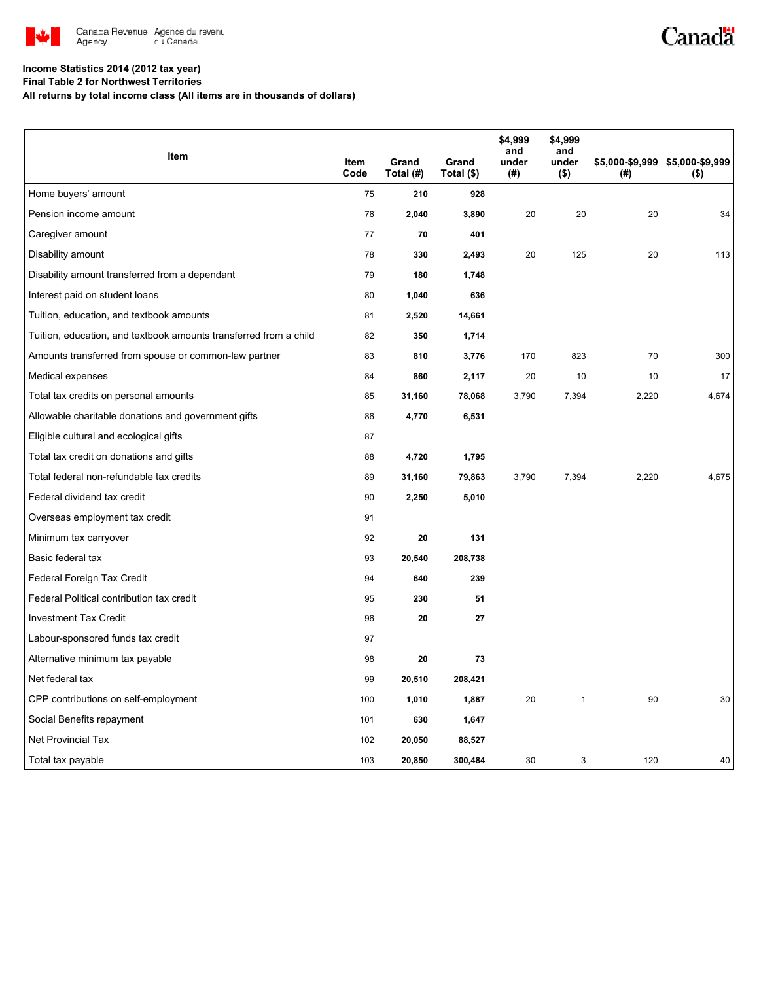

## Canadä

### **Income Statistics 2014 (2012 tax year)**

**Final Table 2 for Northwest Territories**

**All returns by total income class (All items are in thousands of dollars)**

| Item                                                              |              |                    |                     | \$4,999<br>and | \$4,999<br>and   |       |                                            |
|-------------------------------------------------------------------|--------------|--------------------|---------------------|----------------|------------------|-------|--------------------------------------------|
|                                                                   | Item<br>Code | Grand<br>Total (#) | Grand<br>Total (\$) | under<br>(#)   | under<br>$($ \$) | (#)   | \$5,000-\$9,999 \$5,000-\$9,999<br>$($ \$) |
| Home buyers' amount                                               | 75           | 210                | 928                 |                |                  |       |                                            |
| Pension income amount                                             | 76           | 2,040              | 3,890               | 20             | 20               | 20    | 34                                         |
| Caregiver amount                                                  | 77           | 70                 | 401                 |                |                  |       |                                            |
| Disability amount                                                 | 78           | 330                | 2,493               | 20             | 125              | 20    | 113                                        |
| Disability amount transferred from a dependant                    | 79           | 180                | 1,748               |                |                  |       |                                            |
| Interest paid on student loans                                    | 80           | 1,040              | 636                 |                |                  |       |                                            |
| Tuition, education, and textbook amounts                          | 81           | 2,520              | 14,661              |                |                  |       |                                            |
| Tuition, education, and textbook amounts transferred from a child | 82           | 350                | 1,714               |                |                  |       |                                            |
| Amounts transferred from spouse or common-law partner             | 83           | 810                | 3,776               | 170            | 823              | 70    | 300                                        |
| Medical expenses                                                  | 84           | 860                | 2,117               | 20             | 10               | 10    | 17                                         |
| Total tax credits on personal amounts                             | 85           | 31,160             | 78,068              | 3,790          | 7,394            | 2,220 | 4,674                                      |
| Allowable charitable donations and government gifts               | 86           | 4,770              | 6,531               |                |                  |       |                                            |
| Eligible cultural and ecological gifts                            | 87           |                    |                     |                |                  |       |                                            |
| Total tax credit on donations and gifts                           | 88           | 4,720              | 1,795               |                |                  |       |                                            |
| Total federal non-refundable tax credits                          | 89           | 31,160             | 79,863              | 3,790          | 7,394            | 2,220 | 4,675                                      |
| Federal dividend tax credit                                       | 90           | 2,250              | 5,010               |                |                  |       |                                            |
| Overseas employment tax credit                                    | 91           |                    |                     |                |                  |       |                                            |
| Minimum tax carryover                                             | 92           | 20                 | 131                 |                |                  |       |                                            |
| Basic federal tax                                                 | 93           | 20,540             | 208,738             |                |                  |       |                                            |
| Federal Foreign Tax Credit                                        | 94           | 640                | 239                 |                |                  |       |                                            |
| Federal Political contribution tax credit                         | 95           | 230                | 51                  |                |                  |       |                                            |
| <b>Investment Tax Credit</b>                                      | 96           | 20                 | 27                  |                |                  |       |                                            |
| Labour-sponsored funds tax credit                                 | 97           |                    |                     |                |                  |       |                                            |
| Alternative minimum tax payable                                   | 98           | 20                 | 73                  |                |                  |       |                                            |
| Net federal tax                                                   | 99           | 20,510             | 208,421             |                |                  |       |                                            |
| CPP contributions on self-employment                              | 100          | 1,010              | 1,887               | 20             | $\mathbf{1}$     | 90    | 30                                         |
| Social Benefits repayment                                         | 101          | 630                | 1,647               |                |                  |       |                                            |
| <b>Net Provincial Tax</b>                                         | 102          | 20,050             | 88,527              |                |                  |       |                                            |
| Total tax payable                                                 | 103          | 20,850             | 300,484             | 30             | 3                | 120   | 40                                         |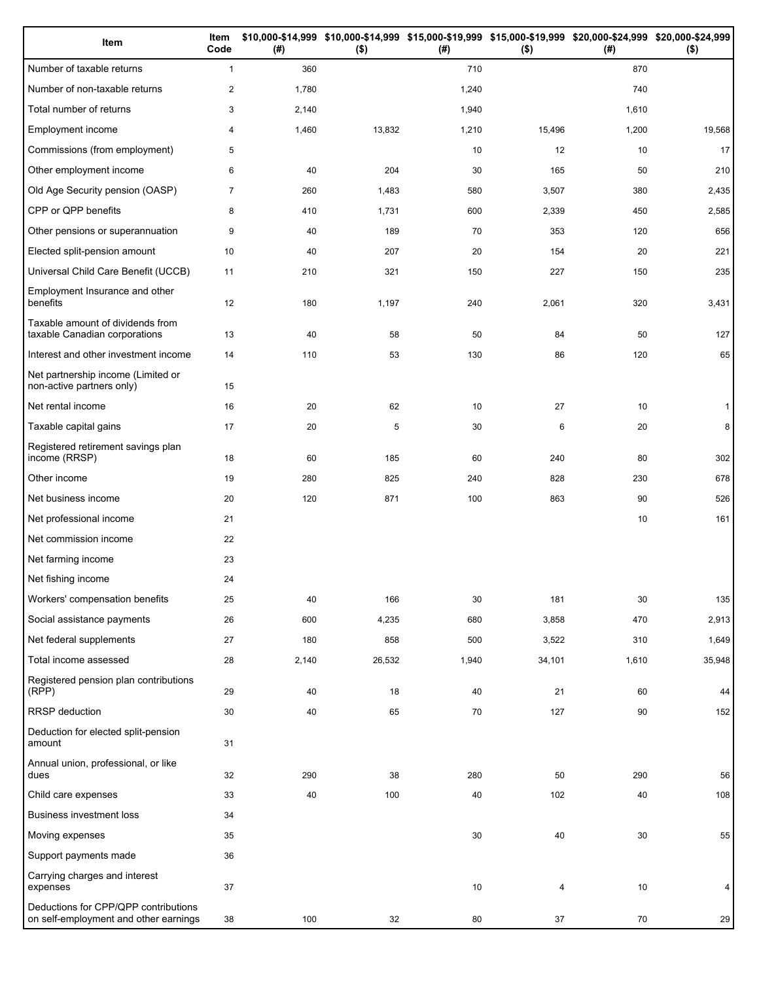| Item                                                                          | Item<br>Code   | (# )  | $($ \$) | (#)   | \$10,000-\$14,999 \$10,000-\$14,999 \$15,000-\$19,999 \$15,000-\$19,999 \$20,000-\$24,999 \$20,000-\$24,999<br>$($ \$) | (# )  | $($ \$) |
|-------------------------------------------------------------------------------|----------------|-------|---------|-------|------------------------------------------------------------------------------------------------------------------------|-------|---------|
| Number of taxable returns                                                     | $\mathbf{1}$   | 360   |         | 710   |                                                                                                                        | 870   |         |
| Number of non-taxable returns                                                 | $\overline{2}$ | 1,780 |         | 1,240 |                                                                                                                        | 740   |         |
| Total number of returns                                                       | 3              | 2,140 |         | 1,940 |                                                                                                                        | 1,610 |         |
| Employment income                                                             | 4              | 1,460 | 13,832  | 1,210 | 15,496                                                                                                                 | 1,200 | 19,568  |
| Commissions (from employment)                                                 | 5              |       |         | 10    | 12                                                                                                                     | 10    | 17      |
| Other employment income                                                       | 6              | 40    | 204     | 30    | 165                                                                                                                    | 50    | 210     |
| Old Age Security pension (OASP)                                               | $\overline{7}$ | 260   | 1,483   | 580   | 3,507                                                                                                                  | 380   | 2,435   |
| CPP or QPP benefits                                                           | 8              | 410   | 1,731   | 600   | 2,339                                                                                                                  | 450   | 2,585   |
| Other pensions or superannuation                                              | 9              | 40    | 189     | 70    | 353                                                                                                                    | 120   | 656     |
| Elected split-pension amount                                                  | 10             | 40    | 207     | 20    | 154                                                                                                                    | 20    | 221     |
| Universal Child Care Benefit (UCCB)                                           | 11             | 210   | 321     | 150   | 227                                                                                                                    | 150   | 235     |
| Employment Insurance and other<br>benefits                                    | 12             | 180   | 1,197   | 240   | 2,061                                                                                                                  | 320   | 3,431   |
| Taxable amount of dividends from<br>taxable Canadian corporations             | 13             | 40    | 58      | 50    | 84                                                                                                                     | 50    | 127     |
| Interest and other investment income                                          | 14             | 110   | 53      | 130   | 86                                                                                                                     | 120   | 65      |
| Net partnership income (Limited or<br>non-active partners only)               | 15             |       |         |       |                                                                                                                        |       |         |
| Net rental income                                                             | 16             | 20    | 62      | 10    | 27                                                                                                                     | 10    | 1       |
| Taxable capital gains                                                         | 17             | 20    | 5       | 30    | 6                                                                                                                      | 20    | 8       |
| Registered retirement savings plan<br>income (RRSP)                           | 18             | 60    | 185     | 60    | 240                                                                                                                    | 80    | 302     |
| Other income                                                                  | 19             | 280   | 825     | 240   | 828                                                                                                                    | 230   | 678     |
| Net business income                                                           | 20             | 120   | 871     | 100   | 863                                                                                                                    | 90    | 526     |
| Net professional income                                                       | 21             |       |         |       |                                                                                                                        | 10    | 161     |
| Net commission income                                                         | 22             |       |         |       |                                                                                                                        |       |         |
| Net farming income                                                            | 23             |       |         |       |                                                                                                                        |       |         |
| Net fishing income                                                            | 24             |       |         |       |                                                                                                                        |       |         |
| Workers' compensation benefits                                                | 25             | 40    | 166     | 30    | 181                                                                                                                    | 30    | 135     |
| Social assistance payments                                                    | 26             | 600   | 4,235   | 680   | 3,858                                                                                                                  | 470   | 2,913   |
| Net federal supplements                                                       | 27             | 180   | 858     | 500   | 3,522                                                                                                                  | 310   | 1,649   |
| Total income assessed                                                         | 28             | 2,140 | 26,532  | 1,940 | 34,101                                                                                                                 | 1,610 | 35,948  |
| Registered pension plan contributions<br>(RPP)                                | 29             | 40    | 18      | 40    | 21                                                                                                                     | 60    | 44      |
| RRSP deduction                                                                | 30             | 40    | 65      | 70    | 127                                                                                                                    | 90    | 152     |
| Deduction for elected split-pension<br>amount                                 | 31             |       |         |       |                                                                                                                        |       |         |
| Annual union, professional, or like<br>dues                                   | 32             | 290   | 38      | 280   | 50                                                                                                                     | 290   | 56      |
| Child care expenses                                                           | 33             | 40    | 100     | 40    | 102                                                                                                                    | 40    | 108     |
| Business investment loss                                                      | 34             |       |         |       |                                                                                                                        |       |         |
| Moving expenses                                                               | 35             |       |         | 30    | 40                                                                                                                     | 30    | 55      |
| Support payments made                                                         | 36             |       |         |       |                                                                                                                        |       |         |
| Carrying charges and interest<br>expenses                                     | 37             |       |         | 10    | 4                                                                                                                      | 10    | 4       |
| Deductions for CPP/QPP contributions<br>on self-employment and other earnings | 38             | 100   | 32      | 80    | 37                                                                                                                     | 70    | 29      |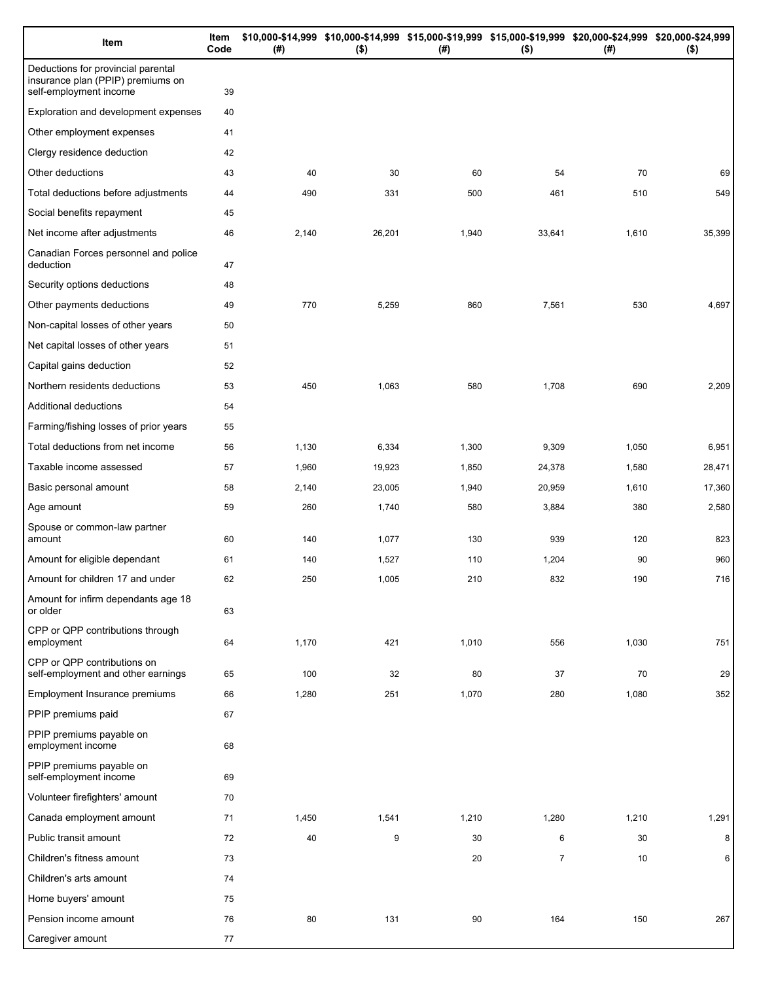| Item                                                                                              | Item<br>Code | (# )  | \$10,000-\$14,999 \$10,000-\$14,999 \$15,000-\$19,999 \$15,000-\$19,999 \$20,000-\$24,999 \$20,000-\$24,999<br>$($ \$) | $($ #) | $($ \$)        | (# )  | $($ \$) |
|---------------------------------------------------------------------------------------------------|--------------|-------|------------------------------------------------------------------------------------------------------------------------|--------|----------------|-------|---------|
| Deductions for provincial parental<br>insurance plan (PPIP) premiums on<br>self-employment income | 39           |       |                                                                                                                        |        |                |       |         |
| Exploration and development expenses                                                              | 40           |       |                                                                                                                        |        |                |       |         |
| Other employment expenses                                                                         | 41           |       |                                                                                                                        |        |                |       |         |
| Clergy residence deduction                                                                        | 42           |       |                                                                                                                        |        |                |       |         |
| Other deductions                                                                                  | 43           | 40    | 30                                                                                                                     | 60     | 54             | 70    | 69      |
| Total deductions before adjustments                                                               | 44           | 490   | 331                                                                                                                    | 500    | 461            | 510   | 549     |
| Social benefits repayment                                                                         | 45           |       |                                                                                                                        |        |                |       |         |
| Net income after adjustments                                                                      | 46           | 2,140 | 26,201                                                                                                                 | 1,940  | 33,641         | 1,610 | 35,399  |
| Canadian Forces personnel and police<br>deduction                                                 | 47           |       |                                                                                                                        |        |                |       |         |
| Security options deductions                                                                       | 48           |       |                                                                                                                        |        |                |       |         |
| Other payments deductions                                                                         | 49           | 770   | 5,259                                                                                                                  | 860    | 7,561          | 530   | 4,697   |
| Non-capital losses of other years                                                                 | 50           |       |                                                                                                                        |        |                |       |         |
| Net capital losses of other years                                                                 | 51           |       |                                                                                                                        |        |                |       |         |
| Capital gains deduction                                                                           | 52           |       |                                                                                                                        |        |                |       |         |
| Northern residents deductions                                                                     | 53           | 450   | 1,063                                                                                                                  | 580    | 1,708          | 690   | 2,209   |
| Additional deductions                                                                             | 54           |       |                                                                                                                        |        |                |       |         |
| Farming/fishing losses of prior years                                                             | 55           |       |                                                                                                                        |        |                |       |         |
| Total deductions from net income                                                                  | 56           | 1,130 | 6,334                                                                                                                  | 1,300  | 9,309          | 1,050 | 6,951   |
| Taxable income assessed                                                                           | 57           | 1,960 | 19,923                                                                                                                 | 1,850  | 24,378         | 1,580 | 28,471  |
| Basic personal amount                                                                             | 58           | 2,140 | 23,005                                                                                                                 | 1,940  | 20,959         | 1,610 | 17,360  |
| Age amount                                                                                        | 59           | 260   | 1,740                                                                                                                  | 580    | 3,884          | 380   | 2,580   |
| Spouse or common-law partner<br>amount                                                            | 60           | 140   | 1,077                                                                                                                  | 130    | 939            | 120   | 823     |
| Amount for eligible dependant                                                                     | 61           | 140   | 1,527                                                                                                                  | 110    | 1,204          | 90    | 960     |
| Amount for children 17 and under                                                                  | 62           | 250   | 1,005                                                                                                                  | 210    | 832            | 190   | 716     |
| Amount for infirm dependants age 18<br>or older                                                   | 63           |       |                                                                                                                        |        |                |       |         |
| CPP or QPP contributions through<br>employment                                                    | 64           | 1,170 | 421                                                                                                                    | 1,010  | 556            | 1,030 | 751     |
| CPP or QPP contributions on<br>self-employment and other earnings                                 | 65           | 100   | 32                                                                                                                     | 80     | 37             | 70    | 29      |
| Employment Insurance premiums                                                                     | 66           | 1,280 | 251                                                                                                                    | 1,070  | 280            | 1,080 | 352     |
| PPIP premiums paid                                                                                | 67           |       |                                                                                                                        |        |                |       |         |
| PPIP premiums payable on<br>employment income                                                     | 68           |       |                                                                                                                        |        |                |       |         |
| PPIP premiums payable on<br>self-employment income                                                | 69           |       |                                                                                                                        |        |                |       |         |
| Volunteer firefighters' amount                                                                    | 70           |       |                                                                                                                        |        |                |       |         |
| Canada employment amount                                                                          | 71           | 1,450 | 1,541                                                                                                                  | 1,210  | 1,280          | 1,210 | 1,291   |
| Public transit amount                                                                             | 72           | 40    | 9                                                                                                                      | 30     | 6              | 30    | 8       |
| Children's fitness amount                                                                         | 73           |       |                                                                                                                        | 20     | $\overline{7}$ | 10    | 6       |
| Children's arts amount                                                                            | 74           |       |                                                                                                                        |        |                |       |         |
| Home buyers' amount                                                                               | 75           |       |                                                                                                                        |        |                |       |         |
| Pension income amount                                                                             | 76           | 80    | 131                                                                                                                    | 90     | 164            | 150   | 267     |
| Caregiver amount                                                                                  | 77           |       |                                                                                                                        |        |                |       |         |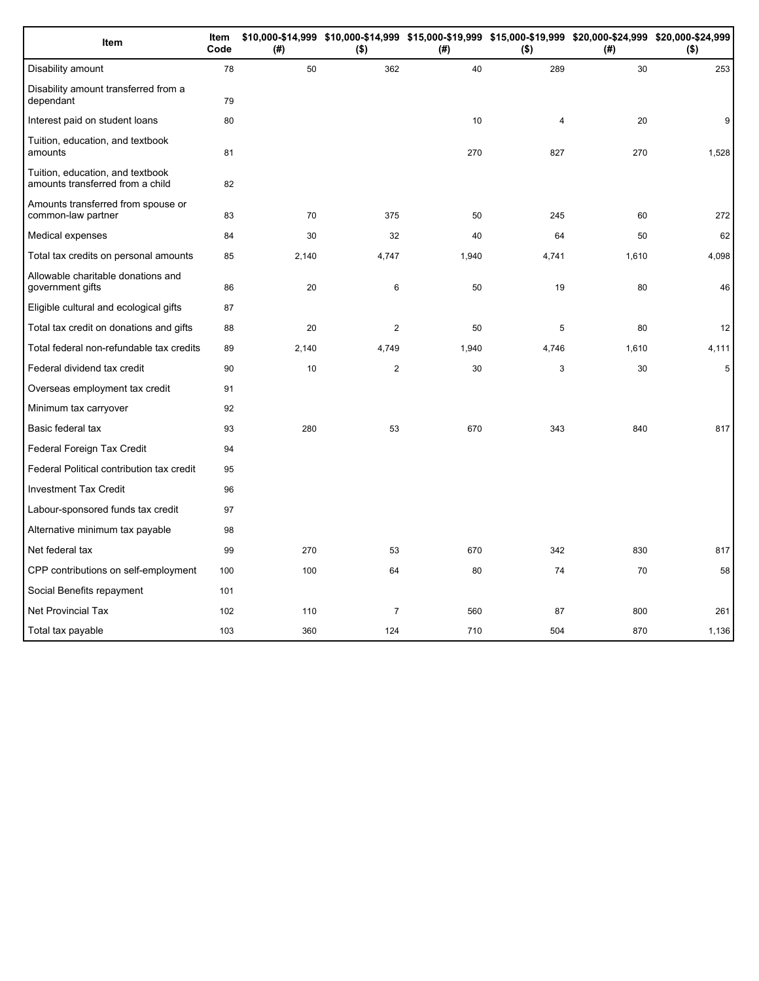| Item                                                                 | Item<br>Code | (#)   | $($ \$)        | (#)   | $($ \$)        | \$10,000-\$14,999 \$10,000-\$14,999 \$15,000-\$19,999 \$15,000-\$19,999 \$20,000-\$24,999 \$20,000-\$24,999<br>(# ) | $($ \$) |
|----------------------------------------------------------------------|--------------|-------|----------------|-------|----------------|---------------------------------------------------------------------------------------------------------------------|---------|
| Disability amount                                                    | 78           | 50    | 362            | 40    | 289            | 30                                                                                                                  | 253     |
| Disability amount transferred from a<br>dependant                    | 79           |       |                |       |                |                                                                                                                     |         |
| Interest paid on student loans                                       | 80           |       |                | 10    | $\overline{4}$ | 20                                                                                                                  | 9       |
| Tuition, education, and textbook<br>amounts                          | 81           |       |                | 270   | 827            | 270                                                                                                                 | 1,528   |
| Tuition, education, and textbook<br>amounts transferred from a child | 82           |       |                |       |                |                                                                                                                     |         |
| Amounts transferred from spouse or<br>common-law partner             | 83           | 70    | 375            | 50    | 245            | 60                                                                                                                  | 272     |
| Medical expenses                                                     | 84           | 30    | 32             | 40    | 64             | 50                                                                                                                  | 62      |
| Total tax credits on personal amounts                                | 85           | 2,140 | 4,747          | 1,940 | 4,741          | 1,610                                                                                                               | 4,098   |
| Allowable charitable donations and<br>government gifts               | 86           | 20    | 6              | 50    | 19             | 80                                                                                                                  | 46      |
| Eligible cultural and ecological gifts                               | 87           |       |                |       |                |                                                                                                                     |         |
| Total tax credit on donations and gifts                              | 88           | 20    | $\overline{c}$ | 50    | 5              | 80                                                                                                                  | 12      |
| Total federal non-refundable tax credits                             | 89           | 2,140 | 4,749          | 1,940 | 4,746          | 1,610                                                                                                               | 4,111   |
| Federal dividend tax credit                                          | 90           | 10    | $\overline{2}$ | 30    | 3              | 30                                                                                                                  | 5       |
| Overseas employment tax credit                                       | 91           |       |                |       |                |                                                                                                                     |         |
| Minimum tax carryover                                                | 92           |       |                |       |                |                                                                                                                     |         |
| Basic federal tax                                                    | 93           | 280   | 53             | 670   | 343            | 840                                                                                                                 | 817     |
| Federal Foreign Tax Credit                                           | 94           |       |                |       |                |                                                                                                                     |         |
| Federal Political contribution tax credit                            | 95           |       |                |       |                |                                                                                                                     |         |
| <b>Investment Tax Credit</b>                                         | 96           |       |                |       |                |                                                                                                                     |         |
| Labour-sponsored funds tax credit                                    | 97           |       |                |       |                |                                                                                                                     |         |
| Alternative minimum tax payable                                      | 98           |       |                |       |                |                                                                                                                     |         |
| Net federal tax                                                      | 99           | 270   | 53             | 670   | 342            | 830                                                                                                                 | 817     |
| CPP contributions on self-employment                                 | 100          | 100   | 64             | 80    | 74             | 70                                                                                                                  | 58      |
| Social Benefits repayment                                            | 101          |       |                |       |                |                                                                                                                     |         |
| <b>Net Provincial Tax</b>                                            | 102          | 110   | $\overline{7}$ | 560   | 87             | 800                                                                                                                 | 261     |
| Total tax payable                                                    | 103          | 360   | 124            | 710   | 504            | 870                                                                                                                 | 1,136   |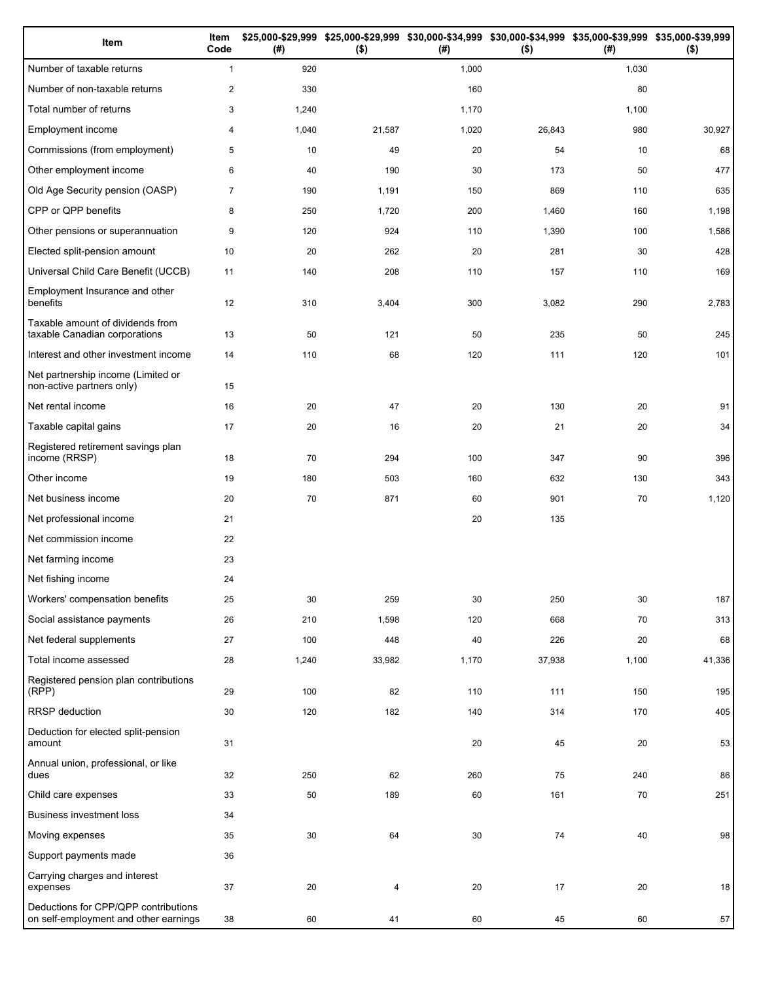| Item                                                                          | Item<br>Code   | (#)   | $($ \$) | (#)   | \$25,000-\$29,999 \$25,000-\$29,999 \$30,000-\$34,999 \$30,000-\$34,999 \$35,000-\$39,999 \$35,000-\$39,999<br>$($ \$) | (#)   | $($ \$) |
|-------------------------------------------------------------------------------|----------------|-------|---------|-------|------------------------------------------------------------------------------------------------------------------------|-------|---------|
| Number of taxable returns                                                     | $\mathbf{1}$   | 920   |         | 1,000 |                                                                                                                        | 1,030 |         |
| Number of non-taxable returns                                                 | $\overline{2}$ | 330   |         | 160   |                                                                                                                        | 80    |         |
| Total number of returns                                                       | 3              | 1,240 |         | 1,170 |                                                                                                                        | 1,100 |         |
| Employment income                                                             | 4              | 1,040 | 21,587  | 1,020 | 26,843                                                                                                                 | 980   | 30,927  |
| Commissions (from employment)                                                 | 5              | 10    | 49      | 20    | 54                                                                                                                     | 10    | 68      |
| Other employment income                                                       | 6              | 40    | 190     | 30    | 173                                                                                                                    | 50    | 477     |
| Old Age Security pension (OASP)                                               | $\overline{7}$ | 190   | 1,191   | 150   | 869                                                                                                                    | 110   | 635     |
| CPP or QPP benefits                                                           | 8              | 250   | 1,720   | 200   | 1,460                                                                                                                  | 160   | 1,198   |
| Other pensions or superannuation                                              | 9              | 120   | 924     | 110   | 1,390                                                                                                                  | 100   | 1,586   |
| Elected split-pension amount                                                  | 10             | 20    | 262     | 20    | 281                                                                                                                    | 30    | 428     |
| Universal Child Care Benefit (UCCB)                                           | 11             | 140   | 208     | 110   | 157                                                                                                                    | 110   | 169     |
| Employment Insurance and other<br>benefits                                    | 12             | 310   | 3,404   | 300   | 3,082                                                                                                                  | 290   | 2,783   |
| Taxable amount of dividends from<br>taxable Canadian corporations             | 13             | 50    | 121     | 50    | 235                                                                                                                    | 50    | 245     |
| Interest and other investment income                                          | 14             | 110   | 68      | 120   | 111                                                                                                                    | 120   | 101     |
| Net partnership income (Limited or<br>non-active partners only)               | 15             |       |         |       |                                                                                                                        |       |         |
| Net rental income                                                             | 16             | 20    | 47      | 20    | 130                                                                                                                    | 20    | 91      |
| Taxable capital gains                                                         | 17             | 20    | 16      | 20    | 21                                                                                                                     | 20    | 34      |
| Registered retirement savings plan<br>income (RRSP)                           | 18             | 70    | 294     | 100   | 347                                                                                                                    | 90    | 396     |
| Other income                                                                  | 19             | 180   | 503     | 160   | 632                                                                                                                    | 130   | 343     |
| Net business income                                                           | 20             | 70    | 871     | 60    | 901                                                                                                                    | 70    | 1,120   |
| Net professional income                                                       | 21             |       |         | 20    | 135                                                                                                                    |       |         |
| Net commission income                                                         | 22             |       |         |       |                                                                                                                        |       |         |
| Net farming income                                                            | 23             |       |         |       |                                                                                                                        |       |         |
| Net fishing income                                                            | 24             |       |         |       |                                                                                                                        |       |         |
| Workers' compensation benefits                                                | 25             | 30    | 259     | 30    | 250                                                                                                                    | 30    | 187     |
| Social assistance payments                                                    | 26             | 210   | 1,598   | 120   | 668                                                                                                                    | 70    | 313     |
| Net federal supplements                                                       | 27             | 100   | 448     | 40    | 226                                                                                                                    | 20    | 68      |
| Total income assessed                                                         | 28             | 1,240 | 33,982  | 1,170 | 37,938                                                                                                                 | 1,100 | 41,336  |
| Registered pension plan contributions<br>(RPP)                                | 29             | 100   | 82      | 110   | 111                                                                                                                    | 150   | 195     |
| RRSP deduction                                                                | 30             | 120   | 182     | 140   | 314                                                                                                                    | 170   | 405     |
| Deduction for elected split-pension<br>amount                                 | 31             |       |         | 20    | 45                                                                                                                     | 20    | 53      |
| Annual union, professional, or like<br>dues                                   | 32             | 250   | 62      | 260   | 75                                                                                                                     | 240   | 86      |
| Child care expenses                                                           | 33             | 50    | 189     | 60    | 161                                                                                                                    | 70    | 251     |
| <b>Business investment loss</b>                                               | 34             |       |         |       |                                                                                                                        |       |         |
| Moving expenses                                                               | 35             | 30    | 64      | 30    | 74                                                                                                                     | 40    | 98      |
| Support payments made                                                         | 36             |       |         |       |                                                                                                                        |       |         |
| Carrying charges and interest<br>expenses                                     | 37             | 20    | 4       | 20    | 17                                                                                                                     | 20    | 18      |
| Deductions for CPP/QPP contributions<br>on self-employment and other earnings | 38             | 60    | 41      | 60    | 45                                                                                                                     | 60    | 57      |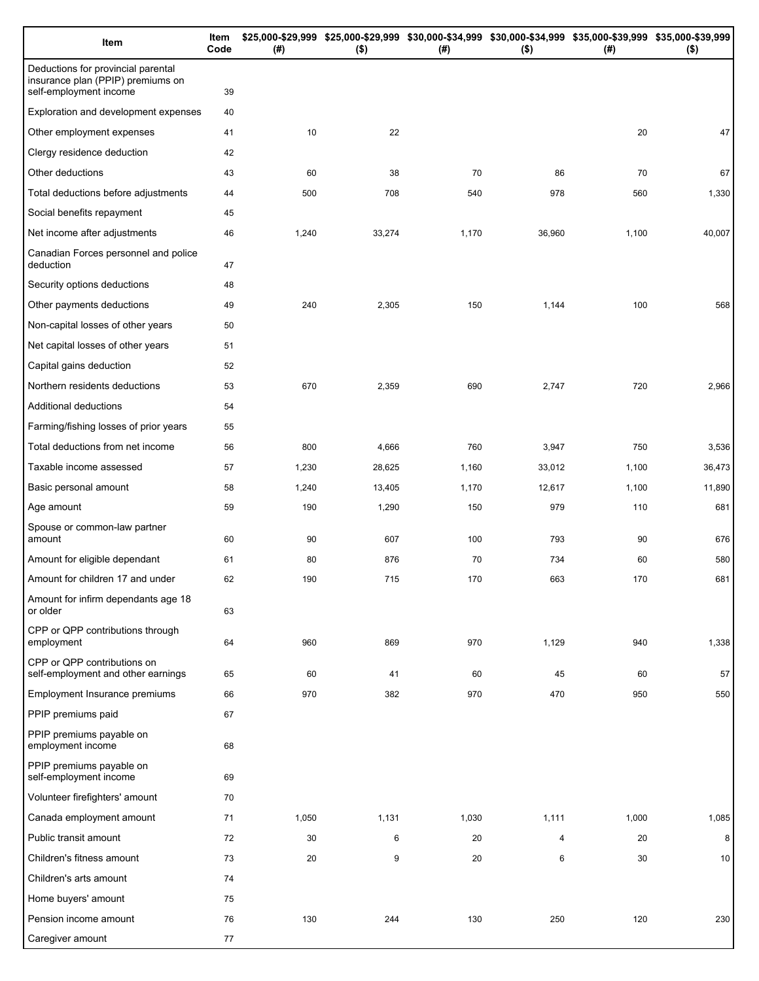| Item                                                                                              | Item<br>Code | (# )  | \$25,000-\$29,999 \$25,000-\$29,999 \$30,000-\$34,999 \$30,000-\$34,999 \$35,000-\$39,999 \$35,000-\$39,999<br>$($ \$) | (#)   | $($ \$) | (# )  | $($ \$) |
|---------------------------------------------------------------------------------------------------|--------------|-------|------------------------------------------------------------------------------------------------------------------------|-------|---------|-------|---------|
| Deductions for provincial parental<br>insurance plan (PPIP) premiums on<br>self-employment income | 39           |       |                                                                                                                        |       |         |       |         |
| Exploration and development expenses                                                              | 40           |       |                                                                                                                        |       |         |       |         |
| Other employment expenses                                                                         | 41           | 10    | 22                                                                                                                     |       |         | 20    | 47      |
| Clergy residence deduction                                                                        | 42           |       |                                                                                                                        |       |         |       |         |
| Other deductions                                                                                  | 43           | 60    | 38                                                                                                                     | 70    | 86      | 70    | 67      |
| Total deductions before adjustments                                                               | 44           | 500   | 708                                                                                                                    | 540   | 978     | 560   | 1,330   |
| Social benefits repayment                                                                         | 45           |       |                                                                                                                        |       |         |       |         |
| Net income after adjustments                                                                      | 46           | 1,240 | 33,274                                                                                                                 | 1,170 | 36,960  | 1,100 | 40,007  |
| Canadian Forces personnel and police<br>deduction                                                 | 47           |       |                                                                                                                        |       |         |       |         |
| Security options deductions                                                                       | 48           |       |                                                                                                                        |       |         |       |         |
| Other payments deductions                                                                         | 49           | 240   | 2,305                                                                                                                  | 150   | 1,144   | 100   | 568     |
| Non-capital losses of other years                                                                 | 50           |       |                                                                                                                        |       |         |       |         |
| Net capital losses of other years                                                                 | 51           |       |                                                                                                                        |       |         |       |         |
| Capital gains deduction                                                                           | 52           |       |                                                                                                                        |       |         |       |         |
| Northern residents deductions                                                                     | 53           | 670   | 2,359                                                                                                                  | 690   | 2,747   | 720   | 2,966   |
| Additional deductions                                                                             | 54           |       |                                                                                                                        |       |         |       |         |
| Farming/fishing losses of prior years                                                             | 55           |       |                                                                                                                        |       |         |       |         |
| Total deductions from net income                                                                  | 56           | 800   | 4,666                                                                                                                  | 760   | 3,947   | 750   | 3,536   |
| Taxable income assessed                                                                           | 57           | 1,230 | 28,625                                                                                                                 | 1,160 | 33,012  | 1,100 | 36,473  |
| Basic personal amount                                                                             | 58           | 1,240 | 13,405                                                                                                                 | 1,170 | 12,617  | 1,100 | 11,890  |
| Age amount                                                                                        | 59           | 190   | 1,290                                                                                                                  | 150   | 979     | 110   | 681     |
| Spouse or common-law partner<br>amount                                                            | 60           | 90    | 607                                                                                                                    | 100   | 793     | 90    | 676     |
| Amount for eligible dependant                                                                     | 61           | 80    | 876                                                                                                                    | 70    | 734     | 60    | 580     |
| Amount for children 17 and under                                                                  | 62           | 190   | 715                                                                                                                    | 170   | 663     | 170   | 681     |
| Amount for infirm dependants age 18<br>or older                                                   | 63           |       |                                                                                                                        |       |         |       |         |
| CPP or QPP contributions through<br>employment                                                    | 64           | 960   | 869                                                                                                                    | 970   | 1,129   | 940   | 1,338   |
| CPP or QPP contributions on<br>self-employment and other earnings                                 | 65           | 60    | 41                                                                                                                     | 60    | 45      | 60    | 57      |
| Employment Insurance premiums                                                                     | 66           | 970   | 382                                                                                                                    | 970   | 470     | 950   | 550     |
| PPIP premiums paid                                                                                | 67           |       |                                                                                                                        |       |         |       |         |
| PPIP premiums payable on<br>employment income                                                     | 68           |       |                                                                                                                        |       |         |       |         |
| PPIP premiums payable on<br>self-employment income                                                | 69           |       |                                                                                                                        |       |         |       |         |
| Volunteer firefighters' amount                                                                    | 70           |       |                                                                                                                        |       |         |       |         |
| Canada employment amount                                                                          | 71           | 1,050 | 1,131                                                                                                                  | 1,030 | 1,111   | 1,000 | 1,085   |
| Public transit amount                                                                             | 72           | 30    | 6                                                                                                                      | 20    | 4       | 20    | 8       |
| Children's fitness amount                                                                         | 73           | 20    | 9                                                                                                                      | 20    | 6       | 30    | 10      |
| Children's arts amount                                                                            | 74           |       |                                                                                                                        |       |         |       |         |
| Home buyers' amount                                                                               | 75           |       |                                                                                                                        |       |         |       |         |
| Pension income amount                                                                             | 76           | 130   | 244                                                                                                                    | 130   | 250     | 120   | 230     |
| Caregiver amount                                                                                  | 77           |       |                                                                                                                        |       |         |       |         |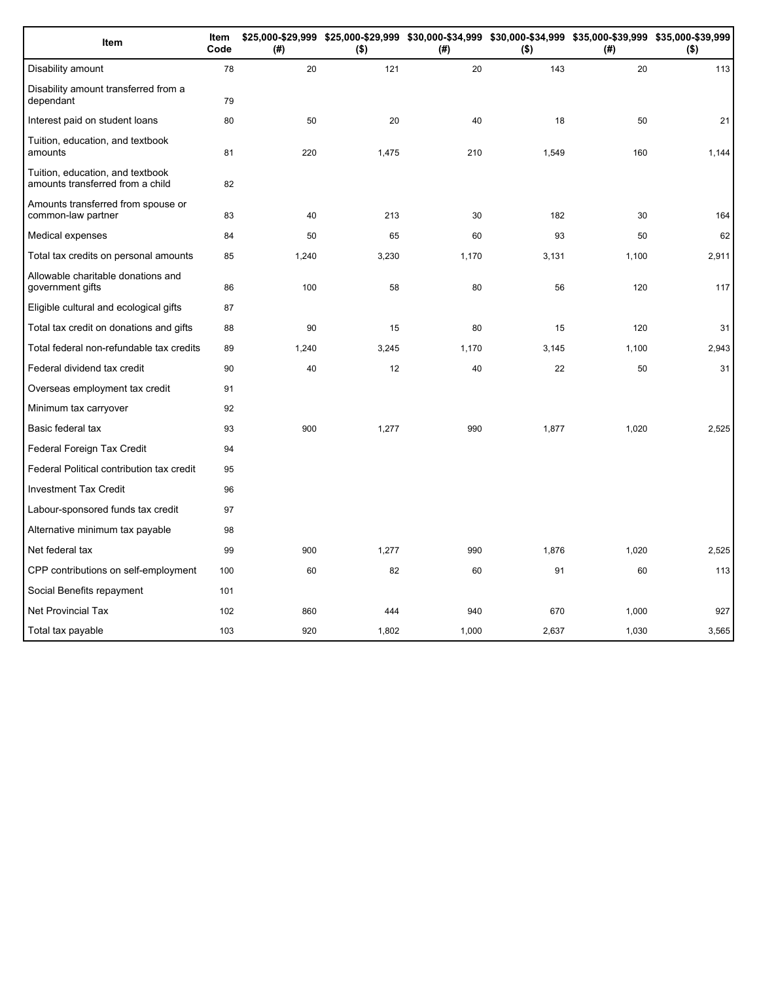| Item                                                                 | Item<br>Code | (# )  | \$25,000-\$29,999 \$25,000-\$29,999 \$30,000-\$34,999 \$30,000-\$34,999 \$35,000-\$39,999 \$35,000-\$39,999<br>$($ \$) | (# )  | $($ \$) | (#)   | $($ \$) |
|----------------------------------------------------------------------|--------------|-------|------------------------------------------------------------------------------------------------------------------------|-------|---------|-------|---------|
| Disability amount                                                    | 78           | 20    | 121                                                                                                                    | 20    | 143     | 20    | 113     |
| Disability amount transferred from a<br>dependant                    | 79           |       |                                                                                                                        |       |         |       |         |
| Interest paid on student loans                                       | 80           | 50    | 20                                                                                                                     | 40    | 18      | 50    | 21      |
| Tuition, education, and textbook<br>amounts                          | 81           | 220   | 1,475                                                                                                                  | 210   | 1,549   | 160   | 1,144   |
| Tuition, education, and textbook<br>amounts transferred from a child | 82           |       |                                                                                                                        |       |         |       |         |
| Amounts transferred from spouse or<br>common-law partner             | 83           | 40    | 213                                                                                                                    | 30    | 182     | 30    | 164     |
| Medical expenses                                                     | 84           | 50    | 65                                                                                                                     | 60    | 93      | 50    | 62      |
| Total tax credits on personal amounts                                | 85           | 1,240 | 3,230                                                                                                                  | 1,170 | 3,131   | 1,100 | 2,911   |
| Allowable charitable donations and<br>government gifts               | 86           | 100   | 58                                                                                                                     | 80    | 56      | 120   | 117     |
| Eligible cultural and ecological gifts                               | 87           |       |                                                                                                                        |       |         |       |         |
| Total tax credit on donations and gifts                              | 88           | 90    | 15                                                                                                                     | 80    | 15      | 120   | 31      |
| Total federal non-refundable tax credits                             | 89           | 1,240 | 3,245                                                                                                                  | 1,170 | 3,145   | 1,100 | 2,943   |
| Federal dividend tax credit                                          | 90           | 40    | 12                                                                                                                     | 40    | 22      | 50    | 31      |
| Overseas employment tax credit                                       | 91           |       |                                                                                                                        |       |         |       |         |
| Minimum tax carryover                                                | 92           |       |                                                                                                                        |       |         |       |         |
| Basic federal tax                                                    | 93           | 900   | 1,277                                                                                                                  | 990   | 1,877   | 1,020 | 2,525   |
| Federal Foreign Tax Credit                                           | 94           |       |                                                                                                                        |       |         |       |         |
| Federal Political contribution tax credit                            | 95           |       |                                                                                                                        |       |         |       |         |
| <b>Investment Tax Credit</b>                                         | 96           |       |                                                                                                                        |       |         |       |         |
| Labour-sponsored funds tax credit                                    | 97           |       |                                                                                                                        |       |         |       |         |
| Alternative minimum tax payable                                      | 98           |       |                                                                                                                        |       |         |       |         |
| Net federal tax                                                      | 99           | 900   | 1,277                                                                                                                  | 990   | 1,876   | 1,020 | 2,525   |
| CPP contributions on self-employment                                 | 100          | 60    | 82                                                                                                                     | 60    | 91      | 60    | 113     |
| Social Benefits repayment                                            | 101          |       |                                                                                                                        |       |         |       |         |
| <b>Net Provincial Tax</b>                                            | 102          | 860   | 444                                                                                                                    | 940   | 670     | 1,000 | 927     |
| Total tax payable                                                    | 103          | 920   | 1,802                                                                                                                  | 1,000 | 2,637   | 1,030 | 3,565   |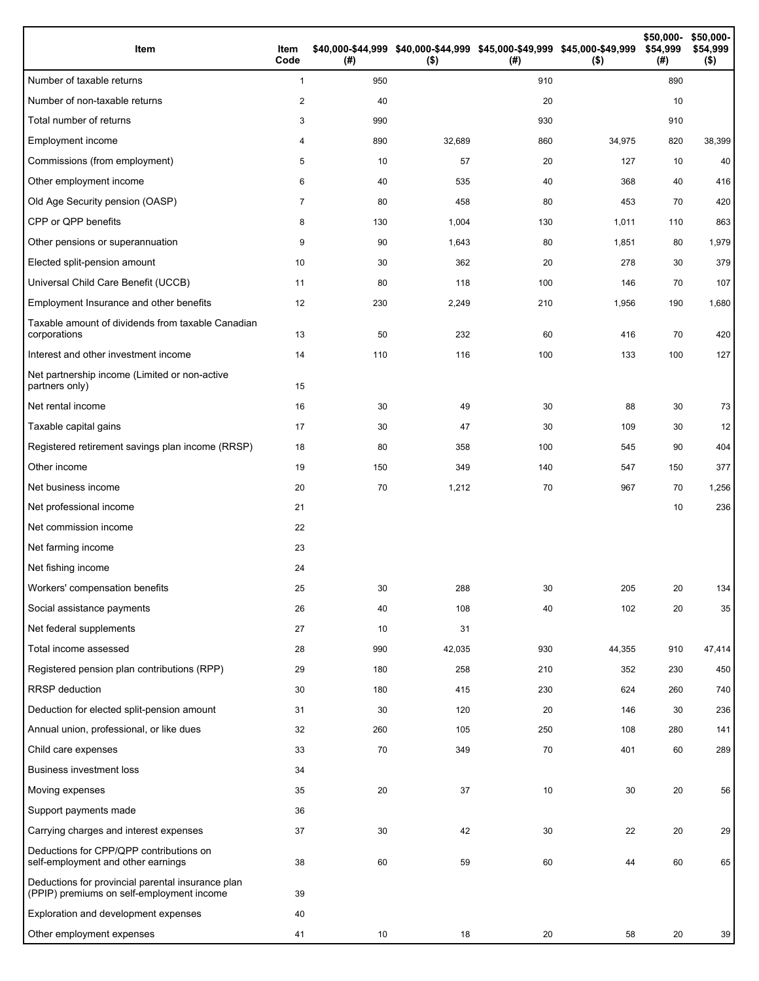| Item                                                                                           | Item<br>Code   | (#) | \$40,000-\$44,999 \$40,000-\$44,999 \$45,000-\$49,999 \$45,000-\$49,999<br>$($ \$) | (#) | $($ \$) | \$50,000-<br>\$54,999<br>(#) | \$50,000-<br>\$54,999<br>$($ \$) |
|------------------------------------------------------------------------------------------------|----------------|-----|------------------------------------------------------------------------------------|-----|---------|------------------------------|----------------------------------|
| Number of taxable returns                                                                      | $\mathbf{1}$   | 950 |                                                                                    | 910 |         | 890                          |                                  |
| Number of non-taxable returns                                                                  | 2              | 40  |                                                                                    | 20  |         | 10                           |                                  |
| Total number of returns                                                                        | 3              | 990 |                                                                                    | 930 |         | 910                          |                                  |
| Employment income                                                                              | 4              | 890 | 32,689                                                                             | 860 | 34,975  | 820                          | 38,399                           |
| Commissions (from employment)                                                                  | 5              | 10  | 57                                                                                 | 20  | 127     | 10                           | 40                               |
| Other employment income                                                                        | 6              | 40  | 535                                                                                | 40  | 368     | 40                           | 416                              |
| Old Age Security pension (OASP)                                                                | $\overline{7}$ | 80  | 458                                                                                | 80  | 453     | 70                           | 420                              |
| CPP or QPP benefits                                                                            | 8              | 130 | 1,004                                                                              | 130 | 1,011   | 110                          | 863                              |
| Other pensions or superannuation                                                               | 9              | 90  | 1,643                                                                              | 80  | 1,851   | 80                           | 1,979                            |
| Elected split-pension amount                                                                   | 10             | 30  | 362                                                                                | 20  | 278     | 30                           | 379                              |
| Universal Child Care Benefit (UCCB)                                                            | 11             | 80  | 118                                                                                | 100 | 146     | 70                           | 107                              |
| Employment Insurance and other benefits                                                        | 12             | 230 | 2,249                                                                              | 210 | 1,956   | 190                          | 1,680                            |
| Taxable amount of dividends from taxable Canadian<br>corporations                              | 13             | 50  | 232                                                                                | 60  | 416     | 70                           | 420                              |
| Interest and other investment income                                                           | 14             | 110 | 116                                                                                | 100 | 133     | 100                          | 127                              |
| Net partnership income (Limited or non-active<br>partners only)                                | 15             |     |                                                                                    |     |         |                              |                                  |
| Net rental income                                                                              | 16             | 30  | 49                                                                                 | 30  | 88      | 30                           | 73                               |
| Taxable capital gains                                                                          | 17             | 30  | 47                                                                                 | 30  | 109     | 30                           | 12                               |
| Registered retirement savings plan income (RRSP)                                               | 18             | 80  | 358                                                                                | 100 | 545     | 90                           | 404                              |
| Other income                                                                                   | 19             | 150 | 349                                                                                | 140 | 547     | 150                          | 377                              |
| Net business income                                                                            | 20             | 70  | 1,212                                                                              | 70  | 967     | 70                           | 1,256                            |
| Net professional income                                                                        | 21             |     |                                                                                    |     |         | 10                           | 236                              |
| Net commission income                                                                          | 22             |     |                                                                                    |     |         |                              |                                  |
| Net farming income                                                                             | 23             |     |                                                                                    |     |         |                              |                                  |
| Net fishing income                                                                             | 24             |     |                                                                                    |     |         |                              |                                  |
| Workers' compensation benefits                                                                 | 25             | 30  | 288                                                                                | 30  | 205     | $20\,$                       | 134                              |
| Social assistance payments                                                                     | 26             | 40  | 108                                                                                | 40  | 102     | 20                           | 35                               |
| Net federal supplements                                                                        | 27             | 10  | 31                                                                                 |     |         |                              |                                  |
| Total income assessed                                                                          | 28             | 990 | 42,035                                                                             | 930 | 44,355  | 910                          | 47,414                           |
| Registered pension plan contributions (RPP)                                                    | 29             | 180 | 258                                                                                | 210 | 352     | 230                          | 450                              |
| RRSP deduction                                                                                 | 30             | 180 | 415                                                                                | 230 | 624     | 260                          | 740                              |
| Deduction for elected split-pension amount                                                     | 31             | 30  | 120                                                                                | 20  | 146     | 30                           | 236                              |
| Annual union, professional, or like dues                                                       | 32             | 260 | 105                                                                                | 250 | 108     | 280                          | 141                              |
| Child care expenses                                                                            | 33             | 70  | 349                                                                                | 70  | 401     | 60                           | 289                              |
| <b>Business investment loss</b>                                                                | 34             |     |                                                                                    |     |         |                              |                                  |
| Moving expenses                                                                                | 35             | 20  | 37                                                                                 | 10  | 30      | 20                           | 56                               |
| Support payments made                                                                          | 36             |     |                                                                                    |     |         |                              |                                  |
| Carrying charges and interest expenses                                                         | 37             | 30  | 42                                                                                 | 30  | 22      | 20                           | 29                               |
| Deductions for CPP/QPP contributions on<br>self-employment and other earnings                  | 38             | 60  | 59                                                                                 | 60  | 44      | 60                           | 65                               |
| Deductions for provincial parental insurance plan<br>(PPIP) premiums on self-employment income | 39             |     |                                                                                    |     |         |                              |                                  |
| Exploration and development expenses                                                           | 40             |     |                                                                                    |     |         |                              |                                  |
| Other employment expenses                                                                      | 41             | 10  | 18                                                                                 | 20  | 58      | 20                           | 39                               |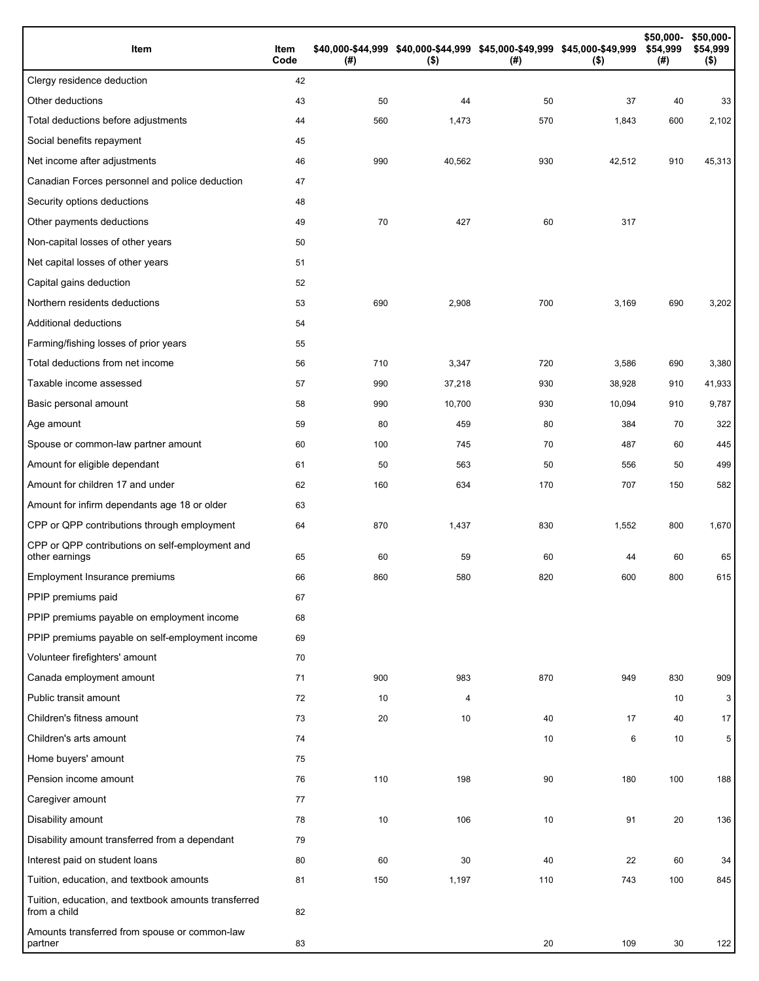| Item                                                                 | Item<br>Code | (# ) | \$40,000-\$44,999 \$40,000-\$44,999 \$45,000-\$49,999 \$45,000-\$49,999<br>$($ \$) | (#) | $($ \$) | \$50,000-<br>\$54,999<br>(#) | \$50,000-<br>\$54,999<br>$($ \$) |
|----------------------------------------------------------------------|--------------|------|------------------------------------------------------------------------------------|-----|---------|------------------------------|----------------------------------|
| Clergy residence deduction                                           | 42           |      |                                                                                    |     |         |                              |                                  |
| Other deductions                                                     | 43           | 50   | 44                                                                                 | 50  | 37      | 40                           | 33                               |
| Total deductions before adjustments                                  | 44           | 560  | 1,473                                                                              | 570 | 1,843   | 600                          | 2,102                            |
| Social benefits repayment                                            | 45           |      |                                                                                    |     |         |                              |                                  |
| Net income after adjustments                                         | 46           | 990  | 40,562                                                                             | 930 | 42,512  | 910                          | 45,313                           |
| Canadian Forces personnel and police deduction                       | 47           |      |                                                                                    |     |         |                              |                                  |
| Security options deductions                                          | 48           |      |                                                                                    |     |         |                              |                                  |
| Other payments deductions                                            | 49           | 70   | 427                                                                                | 60  | 317     |                              |                                  |
| Non-capital losses of other years                                    | 50           |      |                                                                                    |     |         |                              |                                  |
| Net capital losses of other years                                    | 51           |      |                                                                                    |     |         |                              |                                  |
| Capital gains deduction                                              | 52           |      |                                                                                    |     |         |                              |                                  |
| Northern residents deductions                                        | 53           | 690  | 2,908                                                                              | 700 | 3,169   | 690                          | 3,202                            |
| Additional deductions                                                | 54           |      |                                                                                    |     |         |                              |                                  |
| Farming/fishing losses of prior years                                | 55           |      |                                                                                    |     |         |                              |                                  |
| Total deductions from net income                                     | 56           | 710  | 3,347                                                                              | 720 | 3,586   | 690                          | 3,380                            |
| Taxable income assessed                                              | 57           | 990  | 37,218                                                                             | 930 | 38,928  | 910                          | 41,933                           |
| Basic personal amount                                                | 58           | 990  | 10,700                                                                             | 930 | 10,094  | 910                          | 9,787                            |
| Age amount                                                           | 59           | 80   | 459                                                                                | 80  | 384     | 70                           | 322                              |
| Spouse or common-law partner amount                                  | 60           | 100  | 745                                                                                | 70  | 487     | 60                           | 445                              |
| Amount for eligible dependant                                        | 61           | 50   | 563                                                                                | 50  | 556     | 50                           | 499                              |
| Amount for children 17 and under                                     | 62           | 160  | 634                                                                                | 170 | 707     | 150                          | 582                              |
| Amount for infirm dependants age 18 or older                         | 63           |      |                                                                                    |     |         |                              |                                  |
| CPP or QPP contributions through employment                          | 64           | 870  | 1,437                                                                              | 830 | 1,552   | 800                          | 1,670                            |
| CPP or QPP contributions on self-employment and<br>other earnings    | 65           | 60   | 59                                                                                 | 60  | 44      | 60                           | 65                               |
| Employment Insurance premiums                                        | 66           | 860  | 580                                                                                | 820 | 600     | 800                          | 615                              |
| PPIP premiums paid                                                   | 67           |      |                                                                                    |     |         |                              |                                  |
| PPIP premiums payable on employment income                           | 68           |      |                                                                                    |     |         |                              |                                  |
| PPIP premiums payable on self-employment income                      | 69           |      |                                                                                    |     |         |                              |                                  |
| Volunteer firefighters' amount                                       | 70           |      |                                                                                    |     |         |                              |                                  |
| Canada employment amount                                             | 71           | 900  | 983                                                                                | 870 | 949     | 830                          | 909                              |
| Public transit amount                                                | 72           | 10   | 4                                                                                  |     |         | 10                           | 3                                |
| Children's fitness amount                                            | 73           | 20   | 10                                                                                 | 40  | 17      | 40                           | 17                               |
| Children's arts amount                                               | 74           |      |                                                                                    | 10  | 6       | 10                           | 5                                |
| Home buyers' amount                                                  | 75           |      |                                                                                    |     |         |                              |                                  |
| Pension income amount                                                | 76           | 110  | 198                                                                                | 90  | 180     | 100                          | 188                              |
| Caregiver amount                                                     | 77           |      |                                                                                    |     |         |                              |                                  |
| Disability amount                                                    | 78           | 10   | 106                                                                                | 10  | 91      | 20                           | 136                              |
| Disability amount transferred from a dependant                       | 79           |      |                                                                                    |     |         |                              |                                  |
| Interest paid on student loans                                       | 80           | 60   | 30                                                                                 | 40  | 22      | 60                           | 34                               |
| Tuition, education, and textbook amounts                             | 81           | 150  | 1,197                                                                              | 110 | 743     | 100                          | 845                              |
| Tuition, education, and textbook amounts transferred<br>from a child | 82           |      |                                                                                    |     |         |                              |                                  |
| Amounts transferred from spouse or common-law<br>partner             | 83           |      |                                                                                    | 20  | 109     | 30                           | 122                              |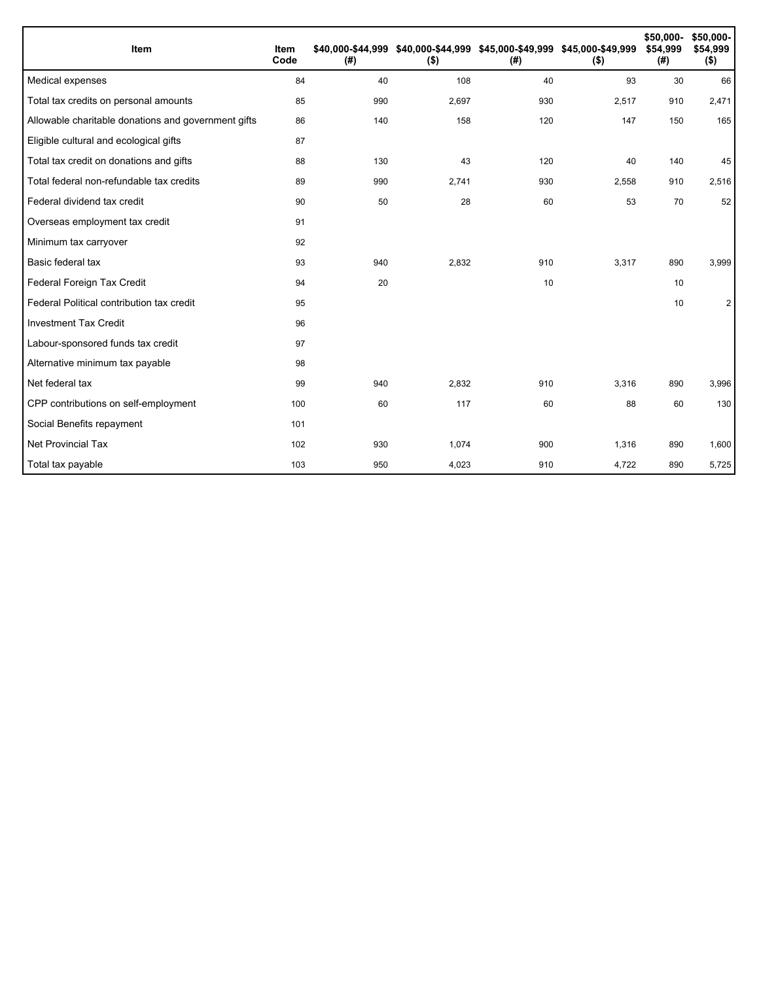| Item                                                | Item<br>Code | (#) | \$40,000-\$44,999 \$40,000-\$44,999 \$45,000-\$49,999 \$45,000-\$49,999<br>$($ \$) | (#) | $($ \$) | \$50,000-<br>\$54,999<br>(#) | \$50,000-<br>\$54,999<br>\$) |
|-----------------------------------------------------|--------------|-----|------------------------------------------------------------------------------------|-----|---------|------------------------------|------------------------------|
| Medical expenses                                    | 84           | 40  | 108                                                                                | 40  | 93      | 30                           | 66                           |
| Total tax credits on personal amounts               | 85           | 990 | 2,697                                                                              | 930 | 2,517   | 910                          | 2,471                        |
| Allowable charitable donations and government gifts | 86           | 140 | 158                                                                                | 120 | 147     | 150                          | 165                          |
| Eligible cultural and ecological gifts              | 87           |     |                                                                                    |     |         |                              |                              |
| Total tax credit on donations and gifts             | 88           | 130 | 43                                                                                 | 120 | 40      | 140                          | 45                           |
| Total federal non-refundable tax credits            | 89           | 990 | 2,741                                                                              | 930 | 2,558   | 910                          | 2,516                        |
| Federal dividend tax credit                         | 90           | 50  | 28                                                                                 | 60  | 53      | 70                           | 52                           |
| Overseas employment tax credit                      | 91           |     |                                                                                    |     |         |                              |                              |
| Minimum tax carryover                               | 92           |     |                                                                                    |     |         |                              |                              |
| Basic federal tax                                   | 93           | 940 | 2.832                                                                              | 910 | 3,317   | 890                          | 3,999                        |
| Federal Foreign Tax Credit                          | 94           | 20  |                                                                                    | 10  |         | 10                           |                              |
| Federal Political contribution tax credit           | 95           |     |                                                                                    |     |         | 10                           | $\mathbf{2}$                 |
| <b>Investment Tax Credit</b>                        | 96           |     |                                                                                    |     |         |                              |                              |
| Labour-sponsored funds tax credit                   | 97           |     |                                                                                    |     |         |                              |                              |
| Alternative minimum tax payable                     | 98           |     |                                                                                    |     |         |                              |                              |
| Net federal tax                                     | 99           | 940 | 2,832                                                                              | 910 | 3,316   | 890                          | 3,996                        |
| CPP contributions on self-employment                | 100          | 60  | 117                                                                                | 60  | 88      | 60                           | 130                          |
| Social Benefits repayment                           | 101          |     |                                                                                    |     |         |                              |                              |
| Net Provincial Tax                                  | 102          | 930 | 1,074                                                                              | 900 | 1,316   | 890                          | 1,600                        |
| Total tax payable                                   | 103          | 950 | 4,023                                                                              | 910 | 4,722   | 890                          | 5,725                        |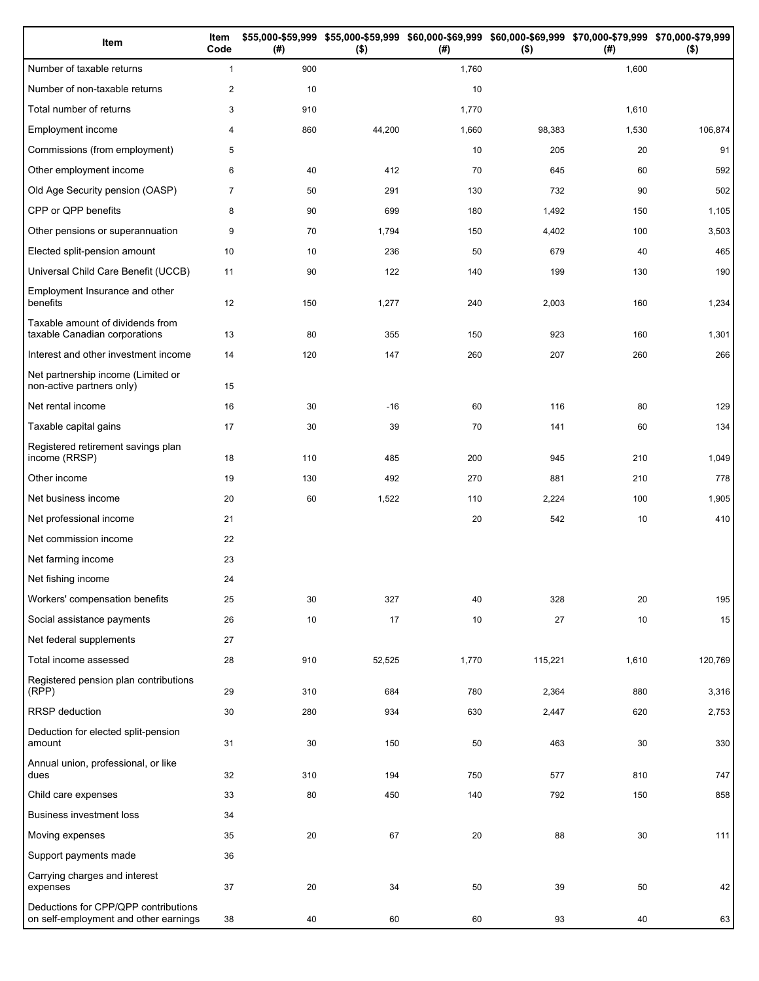| Item                                                                          | Item<br>Code   | (# ) | \$55,000-\$59,999 \$55,000-\$59,999<br>$($ \$) | (#)   | \$60,000-\$69,999 \$60,000-\$69,999 \$70,000-\$79,999 \$70,000-\$79,999<br>$($ \$) | (# )  | $($ \$) |
|-------------------------------------------------------------------------------|----------------|------|------------------------------------------------|-------|------------------------------------------------------------------------------------|-------|---------|
| Number of taxable returns                                                     | $\mathbf{1}$   | 900  |                                                | 1,760 |                                                                                    | 1,600 |         |
| Number of non-taxable returns                                                 | $\overline{2}$ | 10   |                                                | 10    |                                                                                    |       |         |
| Total number of returns                                                       | 3              | 910  |                                                | 1,770 |                                                                                    | 1,610 |         |
| Employment income                                                             | 4              | 860  | 44,200                                         | 1,660 | 98,383                                                                             | 1,530 | 106,874 |
| Commissions (from employment)                                                 | 5              |      |                                                | 10    | 205                                                                                | 20    | 91      |
| Other employment income                                                       | 6              | 40   | 412                                            | 70    | 645                                                                                | 60    | 592     |
| Old Age Security pension (OASP)                                               | $\overline{7}$ | 50   | 291                                            | 130   | 732                                                                                | 90    | 502     |
| CPP or QPP benefits                                                           | 8              | 90   | 699                                            | 180   | 1,492                                                                              | 150   | 1,105   |
| Other pensions or superannuation                                              | 9              | 70   | 1,794                                          | 150   | 4,402                                                                              | 100   | 3,503   |
| Elected split-pension amount                                                  | 10             | 10   | 236                                            | 50    | 679                                                                                | 40    | 465     |
| Universal Child Care Benefit (UCCB)                                           | 11             | 90   | 122                                            | 140   | 199                                                                                | 130   | 190     |
| Employment Insurance and other<br>benefits                                    | 12             | 150  | 1,277                                          | 240   | 2,003                                                                              | 160   | 1,234   |
| Taxable amount of dividends from<br>taxable Canadian corporations             | 13             | 80   | 355                                            | 150   | 923                                                                                | 160   | 1,301   |
| Interest and other investment income                                          | 14             | 120  | 147                                            | 260   | 207                                                                                | 260   | 266     |
| Net partnership income (Limited or<br>non-active partners only)               | 15             |      |                                                |       |                                                                                    |       |         |
| Net rental income                                                             | 16             | 30   | $-16$                                          | 60    | 116                                                                                | 80    | 129     |
| Taxable capital gains                                                         | 17             | 30   | 39                                             | 70    | 141                                                                                | 60    | 134     |
| Registered retirement savings plan<br>income (RRSP)                           | 18             | 110  | 485                                            | 200   | 945                                                                                | 210   | 1,049   |
| Other income                                                                  | 19             | 130  | 492                                            | 270   | 881                                                                                | 210   | 778     |
| Net business income                                                           | 20             | 60   | 1,522                                          | 110   | 2,224                                                                              | 100   | 1,905   |
| Net professional income                                                       | 21             |      |                                                | 20    | 542                                                                                | 10    | 410     |
| Net commission income                                                         | 22             |      |                                                |       |                                                                                    |       |         |
| Net farming income                                                            | 23             |      |                                                |       |                                                                                    |       |         |
| Net fishing income                                                            | 24             |      |                                                |       |                                                                                    |       |         |
| Workers' compensation benefits                                                | 25             | 30   | 327                                            | 40    | 328                                                                                | 20    | 195     |
| Social assistance payments                                                    | 26             | 10   | 17                                             | 10    | 27                                                                                 | 10    | 15      |
| Net federal supplements                                                       | 27             |      |                                                |       |                                                                                    |       |         |
| Total income assessed                                                         | 28             | 910  | 52,525                                         | 1,770 | 115,221                                                                            | 1,610 | 120,769 |
| Registered pension plan contributions<br>(RPP)                                | 29             | 310  | 684                                            | 780   | 2,364                                                                              | 880   | 3,316   |
| RRSP deduction                                                                | 30             | 280  | 934                                            | 630   | 2,447                                                                              | 620   | 2,753   |
| Deduction for elected split-pension<br>amount                                 | 31             | 30   | 150                                            | 50    | 463                                                                                | 30    | 330     |
| Annual union, professional, or like<br>dues                                   | 32             | 310  | 194                                            | 750   | 577                                                                                | 810   | 747     |
| Child care expenses                                                           | 33             | 80   | 450                                            | 140   | 792                                                                                | 150   | 858     |
| <b>Business investment loss</b>                                               | 34             |      |                                                |       |                                                                                    |       |         |
| Moving expenses                                                               | 35             | 20   | 67                                             | 20    | 88                                                                                 | 30    | 111     |
| Support payments made                                                         | 36             |      |                                                |       |                                                                                    |       |         |
| Carrying charges and interest<br>expenses                                     | 37             | 20   | 34                                             | 50    | 39                                                                                 | 50    | 42      |
| Deductions for CPP/QPP contributions<br>on self-employment and other earnings | 38             | 40   | 60                                             | 60    | 93                                                                                 | 40    | 63      |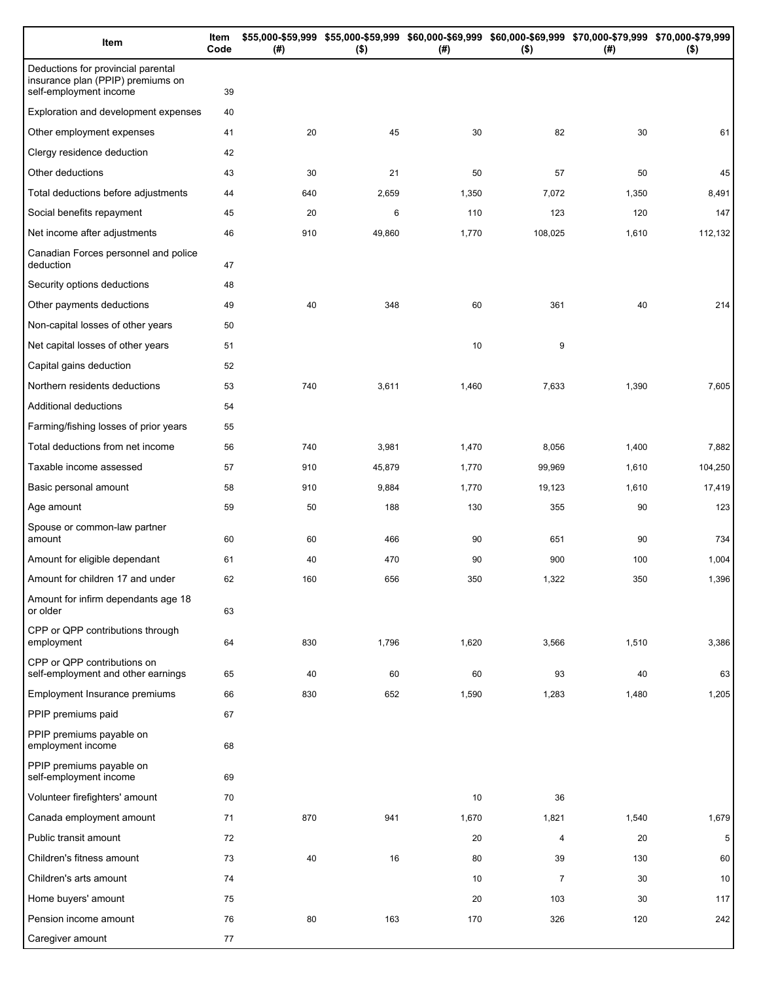| Item                                                                                              | Item<br>Code | (# ) | \$55,000-\$59,999 \$55,000-\$59,999 \$60,000-\$69,999 \$60,000-\$69,999 \$70,000-\$79,999 \$70,000-\$79,999<br>$($ \$) | (# )  | $($ \$)        | (# )  | $($ \$) |
|---------------------------------------------------------------------------------------------------|--------------|------|------------------------------------------------------------------------------------------------------------------------|-------|----------------|-------|---------|
| Deductions for provincial parental<br>insurance plan (PPIP) premiums on<br>self-employment income | 39           |      |                                                                                                                        |       |                |       |         |
| Exploration and development expenses                                                              | 40           |      |                                                                                                                        |       |                |       |         |
| Other employment expenses                                                                         | 41           | 20   | 45                                                                                                                     | 30    | 82             | 30    | 61      |
| Clergy residence deduction                                                                        | 42           |      |                                                                                                                        |       |                |       |         |
| Other deductions                                                                                  | 43           | 30   | 21                                                                                                                     | 50    | 57             | 50    | 45      |
| Total deductions before adjustments                                                               | 44           | 640  | 2,659                                                                                                                  | 1,350 | 7,072          | 1,350 | 8,491   |
| Social benefits repayment                                                                         | 45           | 20   | 6                                                                                                                      | 110   | 123            | 120   | 147     |
| Net income after adjustments                                                                      | 46           | 910  | 49,860                                                                                                                 | 1,770 | 108,025        | 1,610 | 112,132 |
| Canadian Forces personnel and police<br>deduction                                                 | 47           |      |                                                                                                                        |       |                |       |         |
| Security options deductions                                                                       | 48           |      |                                                                                                                        |       |                |       |         |
| Other payments deductions                                                                         | 49           | 40   | 348                                                                                                                    | 60    | 361            | 40    | 214     |
| Non-capital losses of other years                                                                 | 50           |      |                                                                                                                        |       |                |       |         |
| Net capital losses of other years                                                                 | 51           |      |                                                                                                                        | 10    | 9              |       |         |
| Capital gains deduction                                                                           | 52           |      |                                                                                                                        |       |                |       |         |
| Northern residents deductions                                                                     | 53           | 740  | 3,611                                                                                                                  | 1,460 | 7,633          | 1,390 | 7,605   |
| Additional deductions                                                                             | 54           |      |                                                                                                                        |       |                |       |         |
| Farming/fishing losses of prior years                                                             | 55           |      |                                                                                                                        |       |                |       |         |
| Total deductions from net income                                                                  | 56           | 740  | 3,981                                                                                                                  | 1,470 | 8,056          | 1,400 | 7,882   |
| Taxable income assessed                                                                           | 57           | 910  | 45,879                                                                                                                 | 1,770 | 99,969         | 1,610 | 104,250 |
| Basic personal amount                                                                             | 58           | 910  | 9,884                                                                                                                  | 1,770 | 19,123         | 1,610 | 17,419  |
| Age amount                                                                                        | 59           | 50   | 188                                                                                                                    | 130   | 355            | 90    | 123     |
| Spouse or common-law partner<br>amount                                                            | 60           | 60   | 466                                                                                                                    | 90    | 651            | 90    | 734     |
| Amount for eligible dependant                                                                     | 61           | 40   | 470                                                                                                                    | 90    | 900            | 100   | 1,004   |
| Amount for children 17 and under                                                                  | 62           | 160  | 656                                                                                                                    | 350   | 1,322          | 350   | 1,396   |
| Amount for infirm dependants age 18<br>or older                                                   | 63           |      |                                                                                                                        |       |                |       |         |
| CPP or QPP contributions through<br>employment                                                    | 64           | 830  | 1,796                                                                                                                  | 1,620 | 3,566          | 1,510 | 3,386   |
| CPP or QPP contributions on<br>self-employment and other earnings                                 | 65           | 40   | 60                                                                                                                     | 60    | 93             | 40    | 63      |
| Employment Insurance premiums                                                                     | 66           | 830  | 652                                                                                                                    | 1,590 | 1,283          | 1,480 | 1,205   |
| PPIP premiums paid                                                                                | 67           |      |                                                                                                                        |       |                |       |         |
| PPIP premiums payable on<br>employment income                                                     | 68           |      |                                                                                                                        |       |                |       |         |
| PPIP premiums payable on<br>self-employment income                                                | 69           |      |                                                                                                                        |       |                |       |         |
| Volunteer firefighters' amount                                                                    | 70           |      |                                                                                                                        | 10    | 36             |       |         |
| Canada employment amount                                                                          | 71           | 870  | 941                                                                                                                    | 1,670 | 1,821          | 1,540 | 1,679   |
| Public transit amount                                                                             | 72           |      |                                                                                                                        | 20    | 4              | 20    | 5       |
| Children's fitness amount                                                                         | 73           | 40   | 16                                                                                                                     | 80    | 39             | 130   | 60      |
| Children's arts amount                                                                            | 74           |      |                                                                                                                        | 10    | $\overline{7}$ | 30    | 10      |
| Home buyers' amount                                                                               | 75           |      |                                                                                                                        | 20    | 103            | 30    | 117     |
| Pension income amount                                                                             | 76           | 80   | 163                                                                                                                    | 170   | 326            | 120   | 242     |
| Caregiver amount                                                                                  | 77           |      |                                                                                                                        |       |                |       |         |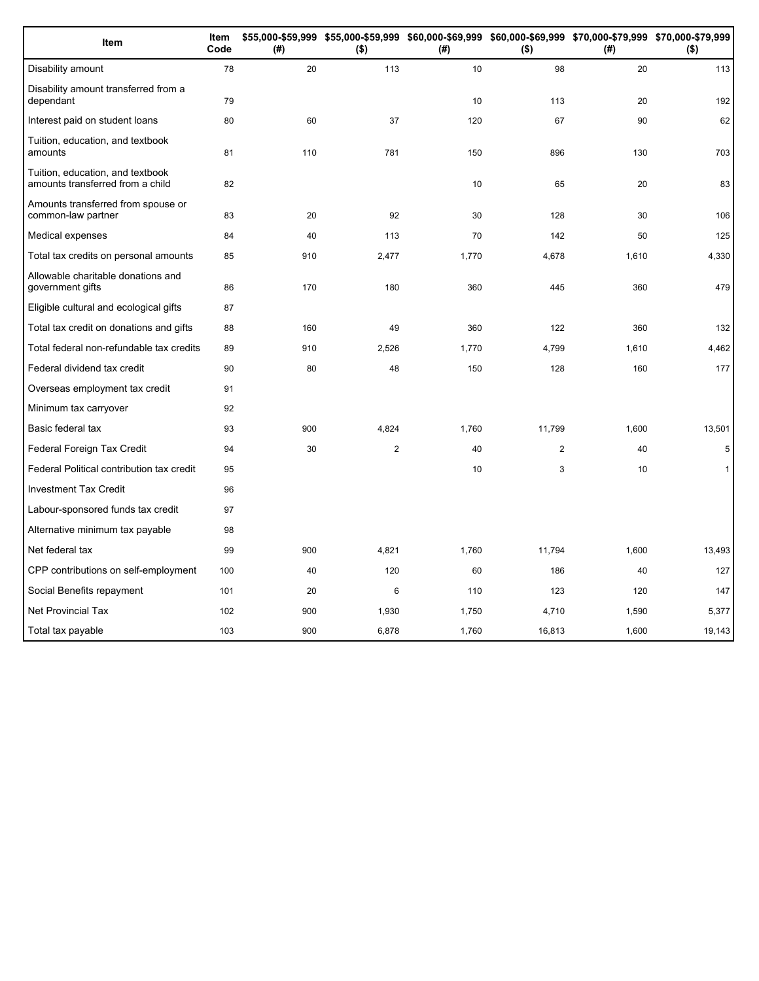| Item                                                                 | Item<br>Code | (#) | \$55,000-\$59,999 \$55,000-\$59,999 \$60,000-\$69,999 \$60,000-\$69,999 \$70,000-\$79,999 \$70,000-\$79,999<br>$($ \$) | (#)   | $($ \$) | (# )  | $($ \$)      |
|----------------------------------------------------------------------|--------------|-----|------------------------------------------------------------------------------------------------------------------------|-------|---------|-------|--------------|
| Disability amount                                                    | 78           | 20  | 113                                                                                                                    | 10    | 98      | 20    | 113          |
| Disability amount transferred from a<br>dependant                    | 79           |     |                                                                                                                        | 10    | 113     | 20    | 192          |
| Interest paid on student loans                                       | 80           | 60  | 37                                                                                                                     | 120   | 67      | 90    | 62           |
| Tuition, education, and textbook<br>amounts                          | 81           | 110 | 781                                                                                                                    | 150   | 896     | 130   | 703          |
| Tuition, education, and textbook<br>amounts transferred from a child | 82           |     |                                                                                                                        | 10    | 65      | 20    | 83           |
| Amounts transferred from spouse or<br>common-law partner             | 83           | 20  | 92                                                                                                                     | 30    | 128     | 30    | 106          |
| Medical expenses                                                     | 84           | 40  | 113                                                                                                                    | 70    | 142     | 50    | 125          |
| Total tax credits on personal amounts                                | 85           | 910 | 2,477                                                                                                                  | 1,770 | 4,678   | 1,610 | 4,330        |
| Allowable charitable donations and<br>government gifts               | 86           | 170 | 180                                                                                                                    | 360   | 445     | 360   | 479          |
| Eligible cultural and ecological gifts                               | 87           |     |                                                                                                                        |       |         |       |              |
| Total tax credit on donations and gifts                              | 88           | 160 | 49                                                                                                                     | 360   | 122     | 360   | 132          |
| Total federal non-refundable tax credits                             | 89           | 910 | 2,526                                                                                                                  | 1,770 | 4,799   | 1,610 | 4,462        |
| Federal dividend tax credit                                          | 90           | 80  | 48                                                                                                                     | 150   | 128     | 160   | 177          |
| Overseas employment tax credit                                       | 91           |     |                                                                                                                        |       |         |       |              |
| Minimum tax carryover                                                | 92           |     |                                                                                                                        |       |         |       |              |
| Basic federal tax                                                    | 93           | 900 | 4,824                                                                                                                  | 1,760 | 11,799  | 1,600 | 13,501       |
| Federal Foreign Tax Credit                                           | 94           | 30  | $\overline{c}$                                                                                                         | 40    | 2       | 40    | 5            |
| Federal Political contribution tax credit                            | 95           |     |                                                                                                                        | 10    | 3       | 10    | $\mathbf{1}$ |
| <b>Investment Tax Credit</b>                                         | 96           |     |                                                                                                                        |       |         |       |              |
| Labour-sponsored funds tax credit                                    | 97           |     |                                                                                                                        |       |         |       |              |
| Alternative minimum tax payable                                      | 98           |     |                                                                                                                        |       |         |       |              |
| Net federal tax                                                      | 99           | 900 | 4,821                                                                                                                  | 1,760 | 11,794  | 1,600 | 13,493       |
| CPP contributions on self-employment                                 | 100          | 40  | 120                                                                                                                    | 60    | 186     | 40    | 127          |
| Social Benefits repayment                                            | 101          | 20  | 6                                                                                                                      | 110   | 123     | 120   | 147          |
| <b>Net Provincial Tax</b>                                            | 102          | 900 | 1,930                                                                                                                  | 1,750 | 4,710   | 1,590 | 5,377        |
| Total tax payable                                                    | 103          | 900 | 6,878                                                                                                                  | 1,760 | 16,813  | 1,600 | 19,143       |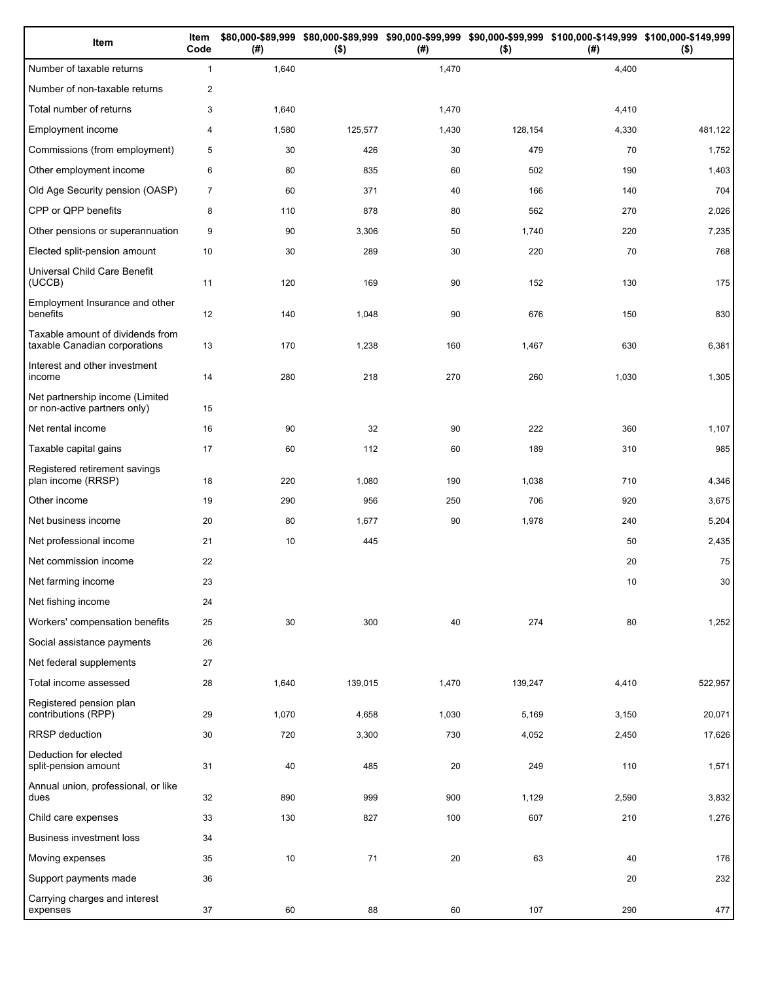| Item                                                              | Item<br>Code   | (# )  | $($ \$) | (# )  | $($ \$) | \$80,000-\$89,999 \$80,000-\$89,999 \$90,000-\$99,999 \$90,000-\$99,999 \$100,000-\$149,999 \$100,000-\$149,999<br>(#) | $($ \$)         |
|-------------------------------------------------------------------|----------------|-------|---------|-------|---------|------------------------------------------------------------------------------------------------------------------------|-----------------|
| Number of taxable returns                                         | $\mathbf{1}$   | 1,640 |         | 1,470 |         | 4,400                                                                                                                  |                 |
| Number of non-taxable returns                                     | $\overline{2}$ |       |         |       |         |                                                                                                                        |                 |
| Total number of returns                                           | 3              | 1,640 |         | 1,470 |         | 4,410                                                                                                                  |                 |
| Employment income                                                 | 4              | 1,580 | 125,577 | 1,430 | 128,154 | 4,330                                                                                                                  | 481,122         |
| Commissions (from employment)                                     | 5              | 30    | 426     | 30    | 479     | 70                                                                                                                     | 1,752           |
| Other employment income                                           | 6              | 80    | 835     | 60    | 502     | 190                                                                                                                    | 1,403           |
| Old Age Security pension (OASP)                                   | $\overline{7}$ | 60    | 371     | 40    | 166     | 140                                                                                                                    | 704             |
| CPP or QPP benefits                                               | 8              | 110   | 878     | 80    | 562     | 270                                                                                                                    | 2,026           |
| Other pensions or superannuation                                  | 9              | 90    | 3,306   | 50    | 1,740   | 220                                                                                                                    | 7,235           |
| Elected split-pension amount                                      | 10             | 30    | 289     | 30    | 220     | 70                                                                                                                     | 768             |
| Universal Child Care Benefit<br>(UCCB)                            | 11             | 120   | 169     | 90    | 152     | 130                                                                                                                    | 175             |
| Employment Insurance and other<br>benefits                        | 12             | 140   | 1,048   | 90    | 676     | 150                                                                                                                    | 830             |
| Taxable amount of dividends from<br>taxable Canadian corporations | 13             | 170   | 1,238   | 160   | 1,467   | 630                                                                                                                    | 6,381           |
| Interest and other investment<br>income                           | 14             | 280   | 218     | 270   | 260     | 1,030                                                                                                                  | 1,305           |
| Net partnership income (Limited<br>or non-active partners only)   | 15             |       |         |       |         |                                                                                                                        |                 |
| Net rental income                                                 | 16             | 90    | 32      | 90    | 222     | 360                                                                                                                    | 1,107           |
| Taxable capital gains                                             | 17             | 60    | 112     | 60    | 189     | 310                                                                                                                    | 985             |
| Registered retirement savings<br>plan income (RRSP)               | 18             | 220   | 1,080   | 190   | 1,038   | 710                                                                                                                    | 4,346           |
| Other income                                                      | 19             | 290   | 956     | 250   | 706     | 920                                                                                                                    | 3,675           |
| Net business income                                               | 20             | 80    | 1,677   | 90    | 1,978   | 240                                                                                                                    | 5,204           |
| Net professional income                                           | 21             | 10    | 445     |       |         | 50                                                                                                                     | 2,435           |
| Net commission income                                             | 22             |       |         |       |         | 20                                                                                                                     | 75              |
| Net farming income                                                | 23             |       |         |       |         | 10                                                                                                                     | 30 <sup>°</sup> |
| Net fishing income                                                | 24             |       |         |       |         |                                                                                                                        |                 |
| Workers' compensation benefits                                    | 25             | 30    | 300     | 40    | 274     | 80                                                                                                                     | 1,252           |
| Social assistance payments                                        | 26             |       |         |       |         |                                                                                                                        |                 |
| Net federal supplements                                           | 27             |       |         |       |         |                                                                                                                        |                 |
| Total income assessed                                             | 28             | 1,640 | 139,015 | 1,470 | 139,247 | 4,410                                                                                                                  | 522,957         |
| Registered pension plan<br>contributions (RPP)                    | 29             | 1,070 | 4,658   | 1,030 | 5,169   | 3,150                                                                                                                  | 20,071          |
| RRSP deduction                                                    | 30             | 720   | 3,300   | 730   | 4,052   | 2,450                                                                                                                  | 17,626          |
| Deduction for elected<br>split-pension amount                     | 31             | 40    | 485     | 20    | 249     | 110                                                                                                                    | 1,571           |
| Annual union, professional, or like<br>dues                       | 32             | 890   | 999     | 900   | 1,129   | 2,590                                                                                                                  | 3,832           |
| Child care expenses                                               | 33             | 130   | 827     | 100   | 607     | 210                                                                                                                    | 1,276           |
| Business investment loss                                          | 34             |       |         |       |         |                                                                                                                        |                 |
| Moving expenses                                                   | 35             | 10    | 71      | 20    | 63      | 40                                                                                                                     | 176             |
| Support payments made                                             | 36             |       |         |       |         | 20                                                                                                                     | 232             |
| Carrying charges and interest<br>expenses                         | 37             | 60    | 88      | 60    | 107     | 290                                                                                                                    | 477             |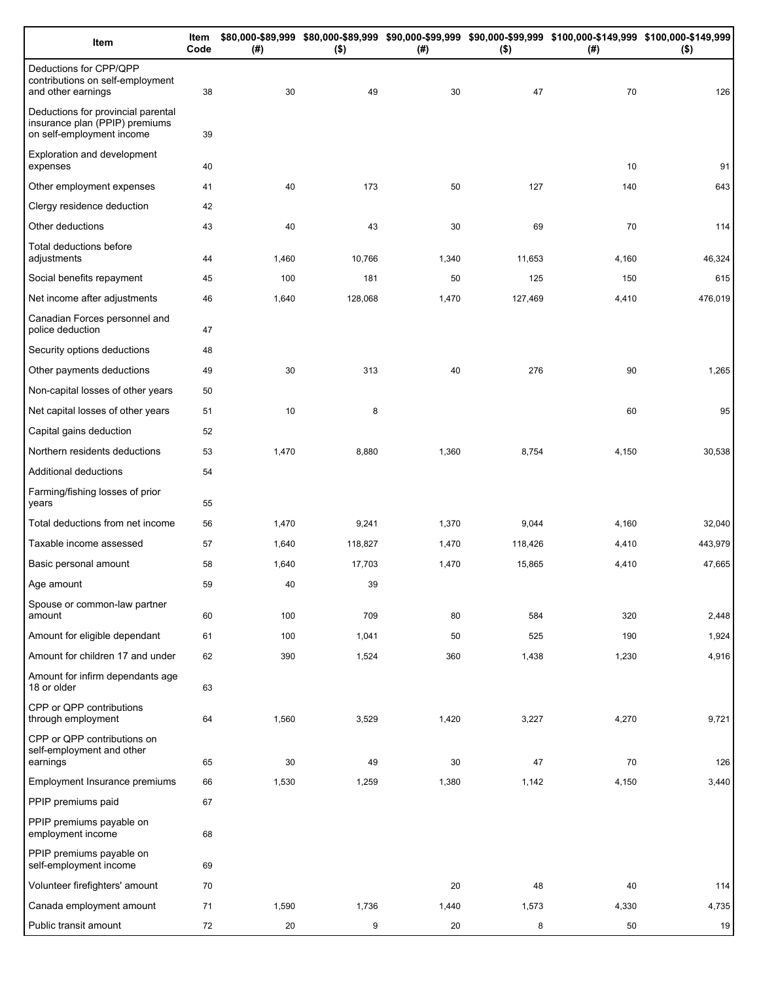| Item                                                                                              | Item<br>Code | (# )  | $($ \$) | (# )  | $($ \$) | \$80,000-\$89,999 \$80,000-\$89,999 \$90,000-\$99,999 \$90,000-\$99,999 \$100,000-\$149,999 \$100,000-\$149,999<br>(#) | $($ \$) |
|---------------------------------------------------------------------------------------------------|--------------|-------|---------|-------|---------|------------------------------------------------------------------------------------------------------------------------|---------|
| Deductions for CPP/QPP<br>contributions on self-employment<br>and other earnings                  | 38           | 30    | 49      | 30    | 47      | 70                                                                                                                     | 126     |
| Deductions for provincial parental<br>insurance plan (PPIP) premiums<br>on self-employment income | 39           |       |         |       |         |                                                                                                                        |         |
| Exploration and development<br>expenses                                                           | 40           |       |         |       |         | 10                                                                                                                     | 91      |
| Other employment expenses                                                                         | 41           | 40    | 173     | 50    | 127     | 140                                                                                                                    | 643     |
| Clergy residence deduction                                                                        | 42           |       |         |       |         |                                                                                                                        |         |
| Other deductions                                                                                  | 43           | 40    | 43      | 30    | 69      | 70                                                                                                                     | 114     |
| Total deductions before<br>adjustments                                                            | 44           | 1,460 | 10,766  | 1,340 | 11,653  | 4,160                                                                                                                  | 46,324  |
| Social benefits repayment                                                                         | 45           | 100   | 181     | 50    | 125     | 150                                                                                                                    | 615     |
| Net income after adjustments                                                                      | 46           | 1,640 | 128,068 | 1,470 | 127,469 | 4,410                                                                                                                  | 476,019 |
| Canadian Forces personnel and<br>police deduction                                                 | 47           |       |         |       |         |                                                                                                                        |         |
| Security options deductions                                                                       | 48           |       |         |       |         |                                                                                                                        |         |
| Other payments deductions                                                                         | 49           | 30    | 313     | 40    | 276     | 90                                                                                                                     | 1,265   |
| Non-capital losses of other years                                                                 | 50           |       |         |       |         |                                                                                                                        |         |
| Net capital losses of other years                                                                 | 51           | 10    | 8       |       |         | 60                                                                                                                     | 95      |
| Capital gains deduction                                                                           | 52           |       |         |       |         |                                                                                                                        |         |
| Northern residents deductions                                                                     | 53           | 1,470 | 8,880   | 1,360 | 8,754   | 4,150                                                                                                                  | 30,538  |
| Additional deductions                                                                             | 54           |       |         |       |         |                                                                                                                        |         |
| Farming/fishing losses of prior<br>years                                                          | 55           |       |         |       |         |                                                                                                                        |         |
| Total deductions from net income                                                                  | 56           | 1,470 | 9,241   | 1,370 | 9,044   | 4,160                                                                                                                  | 32,040  |
| Taxable income assessed                                                                           | 57           | 1,640 | 118,827 | 1,470 | 118,426 | 4,410                                                                                                                  | 443,979 |
| Basic personal amount                                                                             | 58           | 1,640 | 17,703  | 1,470 | 15,865  | 4,410                                                                                                                  | 47,665  |
| Age amount                                                                                        | 59           | 40    | 39      |       |         |                                                                                                                        |         |
| Spouse or common-law partner<br>amount                                                            | 60           | 100   | 709     | 80    | 584     | 320                                                                                                                    | 2,448   |
| Amount for eligible dependant                                                                     | 61           | 100   | 1,041   | 50    | 525     | 190                                                                                                                    | 1,924   |
| Amount for children 17 and under                                                                  | 62           | 390   | 1,524   | 360   | 1,438   | 1,230                                                                                                                  | 4,916   |
| Amount for infirm dependants age<br>18 or older                                                   | 63           |       |         |       |         |                                                                                                                        |         |
| CPP or QPP contributions<br>through employment                                                    | 64           | 1,560 | 3,529   | 1,420 | 3,227   | 4,270                                                                                                                  | 9,721   |
| CPP or QPP contributions on<br>self-employment and other<br>earnings                              | 65           | 30    | 49      | 30    | 47      | 70                                                                                                                     | 126     |
| Employment Insurance premiums                                                                     | 66           | 1,530 | 1,259   | 1,380 | 1,142   | 4,150                                                                                                                  | 3,440   |
| PPIP premiums paid                                                                                | 67           |       |         |       |         |                                                                                                                        |         |
| PPIP premiums payable on                                                                          |              |       |         |       |         |                                                                                                                        |         |
| employment income                                                                                 | 68           |       |         |       |         |                                                                                                                        |         |
| PPIP premiums payable on<br>self-employment income                                                | 69           |       |         |       |         |                                                                                                                        |         |
| Volunteer firefighters' amount                                                                    | 70           |       |         | 20    | 48      | 40                                                                                                                     | 114     |
| Canada employment amount                                                                          | 71           | 1,590 | 1,736   | 1,440 | 1,573   | 4,330                                                                                                                  | 4,735   |
| Public transit amount                                                                             | 72           | 20    | 9       | 20    | 8       | 50                                                                                                                     | 19      |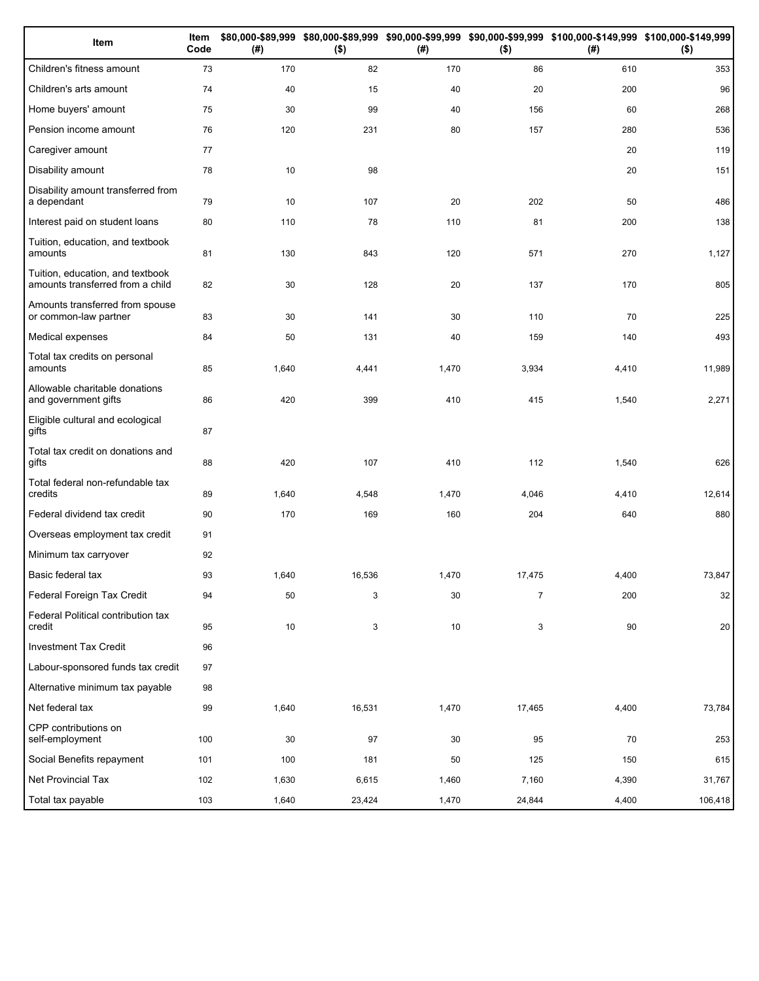| Item                                                                 | Item<br>Code | (# )  | $($ \$) | (#)   | $($ \$)        | \$80,000-\$89,999 \$80,000-\$89,999 \$90,000-\$99,999 \$90,000-\$99,999 \$100,000-\$149,999 \$100,000-\$149,999<br>(#) | $($ \$) |
|----------------------------------------------------------------------|--------------|-------|---------|-------|----------------|------------------------------------------------------------------------------------------------------------------------|---------|
| Children's fitness amount                                            | 73           | 170   | 82      | 170   | 86             | 610                                                                                                                    | 353     |
| Children's arts amount                                               | 74           | 40    | 15      | 40    | 20             | 200                                                                                                                    | 96      |
| Home buyers' amount                                                  | 75           | 30    | 99      | 40    | 156            | 60                                                                                                                     | 268     |
| Pension income amount                                                | 76           | 120   | 231     | 80    | 157            | 280                                                                                                                    | 536     |
| Caregiver amount                                                     | 77           |       |         |       |                | 20                                                                                                                     | 119     |
| Disability amount                                                    | 78           | 10    | 98      |       |                | 20                                                                                                                     | 151     |
| Disability amount transferred from<br>a dependant                    | 79           | 10    | 107     | 20    | 202            | 50                                                                                                                     | 486     |
| Interest paid on student loans                                       | 80           | 110   | 78      | 110   | 81             | 200                                                                                                                    | 138     |
| Tuition, education, and textbook<br>amounts                          | 81           | 130   | 843     | 120   | 571            | 270                                                                                                                    | 1,127   |
| Tuition, education, and textbook<br>amounts transferred from a child | 82           | 30    | 128     | 20    | 137            | 170                                                                                                                    | 805     |
| Amounts transferred from spouse<br>or common-law partner             | 83           | 30    | 141     | 30    | 110            | 70                                                                                                                     | 225     |
| Medical expenses                                                     | 84           | 50    | 131     | 40    | 159            | 140                                                                                                                    | 493     |
| Total tax credits on personal<br>amounts                             | 85           | 1,640 | 4,441   | 1,470 | 3,934          | 4,410                                                                                                                  | 11,989  |
| Allowable charitable donations<br>and government gifts               | 86           | 420   | 399     | 410   | 415            | 1,540                                                                                                                  | 2,271   |
| Eligible cultural and ecological<br>gifts                            | 87           |       |         |       |                |                                                                                                                        |         |
| Total tax credit on donations and<br>gifts                           | 88           | 420   | 107     | 410   | 112            | 1,540                                                                                                                  | 626     |
| Total federal non-refundable tax<br>credits                          | 89           | 1,640 | 4,548   | 1,470 | 4,046          | 4,410                                                                                                                  | 12,614  |
| Federal dividend tax credit                                          | 90           | 170   | 169     | 160   | 204            | 640                                                                                                                    | 880     |
| Overseas employment tax credit                                       | 91           |       |         |       |                |                                                                                                                        |         |
| Minimum tax carryover                                                | 92           |       |         |       |                |                                                                                                                        |         |
| Basic federal tax                                                    | 93           | 1,640 | 16,536  | 1,470 | 17,475         | 4,400                                                                                                                  | 73,847  |
| Federal Foreign Tax Credit                                           | 94           | 50    | 3       | 30    | $\overline{7}$ | 200                                                                                                                    | 32      |
| Federal Political contribution tax<br>credit                         | 95           | 10    | 3       | 10    | 3              | 90                                                                                                                     | 20      |
| <b>Investment Tax Credit</b>                                         | 96           |       |         |       |                |                                                                                                                        |         |
| Labour-sponsored funds tax credit                                    | 97           |       |         |       |                |                                                                                                                        |         |
| Alternative minimum tax payable                                      | 98           |       |         |       |                |                                                                                                                        |         |
| Net federal tax                                                      | 99           | 1,640 | 16,531  | 1,470 | 17,465         | 4,400                                                                                                                  | 73,784  |
| CPP contributions on<br>self-employment                              | 100          | 30    | 97      | 30    | 95             | 70                                                                                                                     | 253     |
| Social Benefits repayment                                            | 101          | 100   | 181     | 50    | 125            | 150                                                                                                                    | 615     |
| Net Provincial Tax                                                   | 102          | 1,630 | 6,615   | 1,460 | 7,160          | 4,390                                                                                                                  | 31,767  |
| Total tax payable                                                    | 103          | 1,640 | 23,424  | 1,470 | 24,844         | 4,400                                                                                                                  | 106,418 |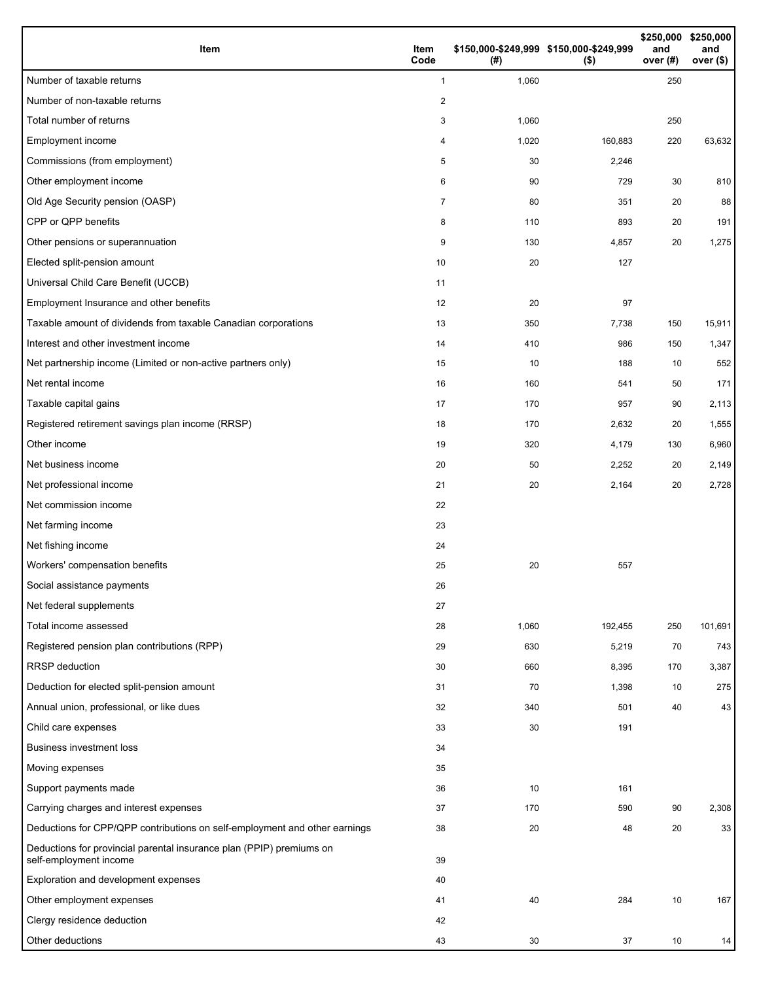| Item                                                                                           | Item<br>Code | (#)   | \$150,000-\$249,999 \$150,000-\$249,999<br>$($ \$) | \$250,000<br>and<br>over (#) | \$250,000<br>and<br>over (\$) |
|------------------------------------------------------------------------------------------------|--------------|-------|----------------------------------------------------|------------------------------|-------------------------------|
| Number of taxable returns                                                                      | $\mathbf{1}$ | 1,060 |                                                    | 250                          |                               |
| Number of non-taxable returns                                                                  | 2            |       |                                                    |                              |                               |
| Total number of returns                                                                        | 3            | 1,060 |                                                    | 250                          |                               |
| Employment income                                                                              | 4            | 1,020 | 160,883                                            | 220                          | 63,632                        |
| Commissions (from employment)                                                                  | 5            | 30    | 2,246                                              |                              |                               |
| Other employment income                                                                        | 6            | 90    | 729                                                | 30                           | 810                           |
| Old Age Security pension (OASP)                                                                | 7            | 80    | 351                                                | 20                           | 88                            |
| CPP or QPP benefits                                                                            | 8            | 110   | 893                                                | 20                           | 191                           |
| Other pensions or superannuation                                                               | 9            | 130   | 4,857                                              | 20                           | 1,275                         |
| Elected split-pension amount                                                                   | 10           | 20    | 127                                                |                              |                               |
| Universal Child Care Benefit (UCCB)                                                            | 11           |       |                                                    |                              |                               |
| Employment Insurance and other benefits                                                        | 12           | 20    | 97                                                 |                              |                               |
| Taxable amount of dividends from taxable Canadian corporations                                 | 13           | 350   | 7,738                                              | 150                          | 15,911                        |
| Interest and other investment income                                                           | 14           | 410   | 986                                                | 150                          | 1,347                         |
| Net partnership income (Limited or non-active partners only)                                   | 15           | 10    | 188                                                | 10                           | 552                           |
| Net rental income                                                                              | 16           | 160   | 541                                                | 50                           | 171                           |
| Taxable capital gains                                                                          | 17           | 170   | 957                                                | 90                           | 2,113                         |
| Registered retirement savings plan income (RRSP)                                               | 18           | 170   | 2,632                                              | 20                           | 1,555                         |
| Other income                                                                                   | 19           | 320   | 4,179                                              | 130                          | 6,960                         |
| Net business income                                                                            | 20           | 50    | 2,252                                              | 20                           | 2,149                         |
| Net professional income                                                                        | 21           | 20    | 2,164                                              | 20                           | 2,728                         |
| Net commission income                                                                          | 22           |       |                                                    |                              |                               |
| Net farming income                                                                             | 23           |       |                                                    |                              |                               |
| Net fishing income                                                                             | 24           |       |                                                    |                              |                               |
| Workers' compensation benefits                                                                 | 25           | 20    | 557                                                |                              |                               |
| Social assistance payments                                                                     | 26           |       |                                                    |                              |                               |
| Net federal supplements                                                                        | 27           |       |                                                    |                              |                               |
| Total income assessed                                                                          | 28           | 1,060 | 192,455                                            | 250                          | 101,691                       |
| Registered pension plan contributions (RPP)                                                    | 29           | 630   | 5,219                                              | 70                           | 743                           |
| <b>RRSP</b> deduction                                                                          | 30           | 660   | 8,395                                              | 170                          | 3,387                         |
| Deduction for elected split-pension amount                                                     | 31           | 70    | 1,398                                              | 10                           | 275                           |
| Annual union, professional, or like dues                                                       | 32           | 340   | 501                                                | 40                           | 43                            |
| Child care expenses                                                                            | 33           | 30    | 191                                                |                              |                               |
| <b>Business investment loss</b>                                                                | 34           |       |                                                    |                              |                               |
| Moving expenses                                                                                | 35           |       |                                                    |                              |                               |
| Support payments made                                                                          | 36           | 10    | 161                                                |                              |                               |
| Carrying charges and interest expenses                                                         | 37           | 170   | 590                                                | 90                           | 2,308                         |
| Deductions for CPP/QPP contributions on self-employment and other earnings                     | 38           | 20    | 48                                                 | 20                           | 33                            |
| Deductions for provincial parental insurance plan (PPIP) premiums on<br>self-employment income | 39           |       |                                                    |                              |                               |
| Exploration and development expenses                                                           | 40           |       |                                                    |                              |                               |
| Other employment expenses                                                                      | 41           | 40    | 284                                                | 10                           | 167                           |
| Clergy residence deduction                                                                     | 42           |       |                                                    |                              |                               |
| Other deductions                                                                               | 43           | 30    | 37                                                 | 10                           | 14                            |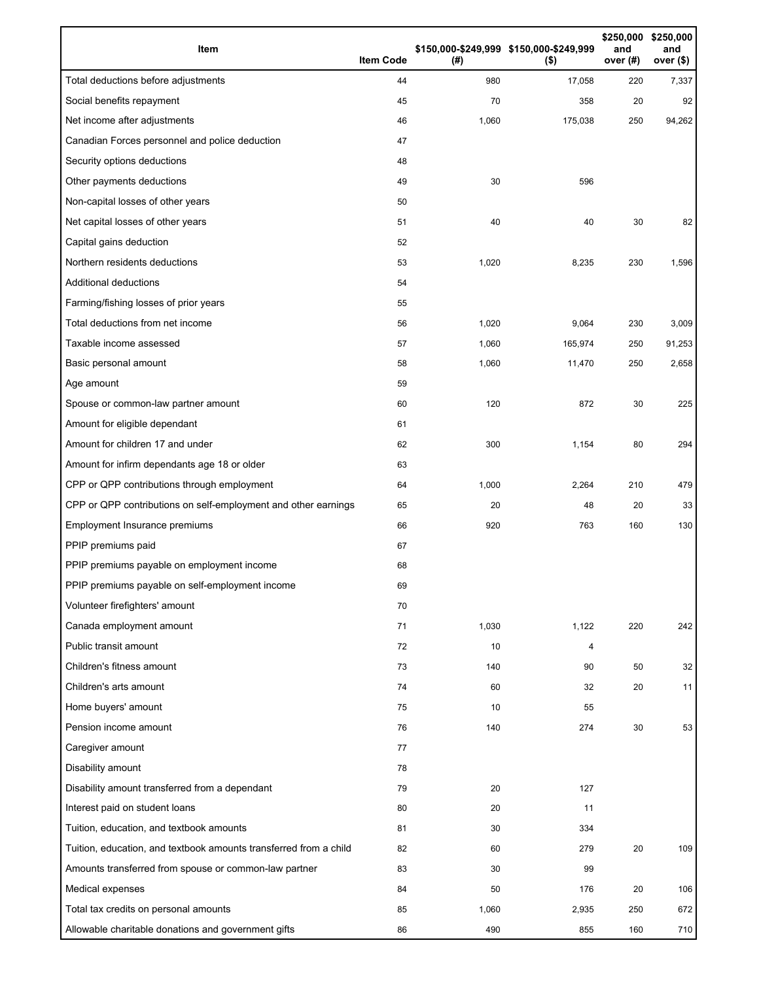| Item                                                              | <b>Item Code</b> | (# )  | \$150,000-\$249,999 \$150,000-\$249,999<br>$($ \$) | \$250,000<br>and<br>over (#) | \$250,000<br>and<br>over $($)$ |
|-------------------------------------------------------------------|------------------|-------|----------------------------------------------------|------------------------------|--------------------------------|
| Total deductions before adjustments                               | 44               | 980   | 17,058                                             | 220                          | 7,337                          |
| Social benefits repayment                                         | 45               | 70    | 358                                                | 20                           | 92                             |
| Net income after adjustments                                      | 46               | 1,060 | 175,038                                            | 250                          | 94,262                         |
| Canadian Forces personnel and police deduction                    | 47               |       |                                                    |                              |                                |
| Security options deductions                                       | 48               |       |                                                    |                              |                                |
| Other payments deductions                                         | 49               | 30    | 596                                                |                              |                                |
| Non-capital losses of other years                                 | 50               |       |                                                    |                              |                                |
| Net capital losses of other years                                 | 51               | 40    | 40                                                 | 30                           | 82                             |
| Capital gains deduction                                           | 52               |       |                                                    |                              |                                |
| Northern residents deductions                                     | 53               | 1,020 | 8,235                                              | 230                          | 1,596                          |
| Additional deductions                                             | 54               |       |                                                    |                              |                                |
| Farming/fishing losses of prior years                             | 55               |       |                                                    |                              |                                |
| Total deductions from net income                                  | 56               | 1,020 | 9,064                                              | 230                          | 3,009                          |
| Taxable income assessed                                           | 57               | 1,060 | 165,974                                            | 250                          | 91,253                         |
| Basic personal amount                                             | 58               | 1,060 | 11,470                                             | 250                          | 2,658                          |
| Age amount                                                        | 59               |       |                                                    |                              |                                |
| Spouse or common-law partner amount                               | 60               | 120   | 872                                                | 30                           | 225                            |
| Amount for eligible dependant                                     | 61               |       |                                                    |                              |                                |
| Amount for children 17 and under                                  | 62               | 300   | 1,154                                              | 80                           | 294                            |
| Amount for infirm dependants age 18 or older                      | 63               |       |                                                    |                              |                                |
| CPP or QPP contributions through employment                       | 64               | 1,000 | 2,264                                              | 210                          | 479                            |
| CPP or QPP contributions on self-employment and other earnings    | 65               | 20    | 48                                                 | 20                           | 33                             |
| Employment Insurance premiums                                     | 66               | 920   | 763                                                | 160                          | 130                            |
| PPIP premiums paid                                                | 67               |       |                                                    |                              |                                |
| PPIP premiums payable on employment income                        | 68               |       |                                                    |                              |                                |
| PPIP premiums payable on self-employment income                   | 69               |       |                                                    |                              |                                |
| Volunteer firefighters' amount                                    | 70               |       |                                                    |                              |                                |
| Canada employment amount                                          | 71               | 1,030 | 1,122                                              | 220                          | 242                            |
| Public transit amount                                             | 72               | 10    | 4                                                  |                              |                                |
| Children's fitness amount                                         | 73               | 140   | 90                                                 | 50                           | 32                             |
| Children's arts amount                                            | 74               | 60    | 32                                                 | 20                           | 11                             |
| Home buyers' amount                                               | 75               | 10    | 55                                                 |                              |                                |
| Pension income amount                                             | 76               | 140   | 274                                                | 30                           | 53                             |
| Caregiver amount                                                  | 77               |       |                                                    |                              |                                |
| Disability amount                                                 | 78               |       |                                                    |                              |                                |
| Disability amount transferred from a dependant                    | 79               | 20    | 127                                                |                              |                                |
| Interest paid on student loans                                    | 80               | 20    | 11                                                 |                              |                                |
| Tuition, education, and textbook amounts                          | 81               | 30    | 334                                                |                              |                                |
| Tuition, education, and textbook amounts transferred from a child | 82               | 60    | 279                                                | 20                           | 109                            |
| Amounts transferred from spouse or common-law partner             | 83               | 30    | 99                                                 |                              |                                |
| Medical expenses                                                  | 84               | 50    | 176                                                | 20                           | 106                            |
| Total tax credits on personal amounts                             | 85               | 1,060 | 2,935                                              | 250                          | 672                            |
| Allowable charitable donations and government gifts               | 86               | 490   | 855                                                | 160                          | 710                            |